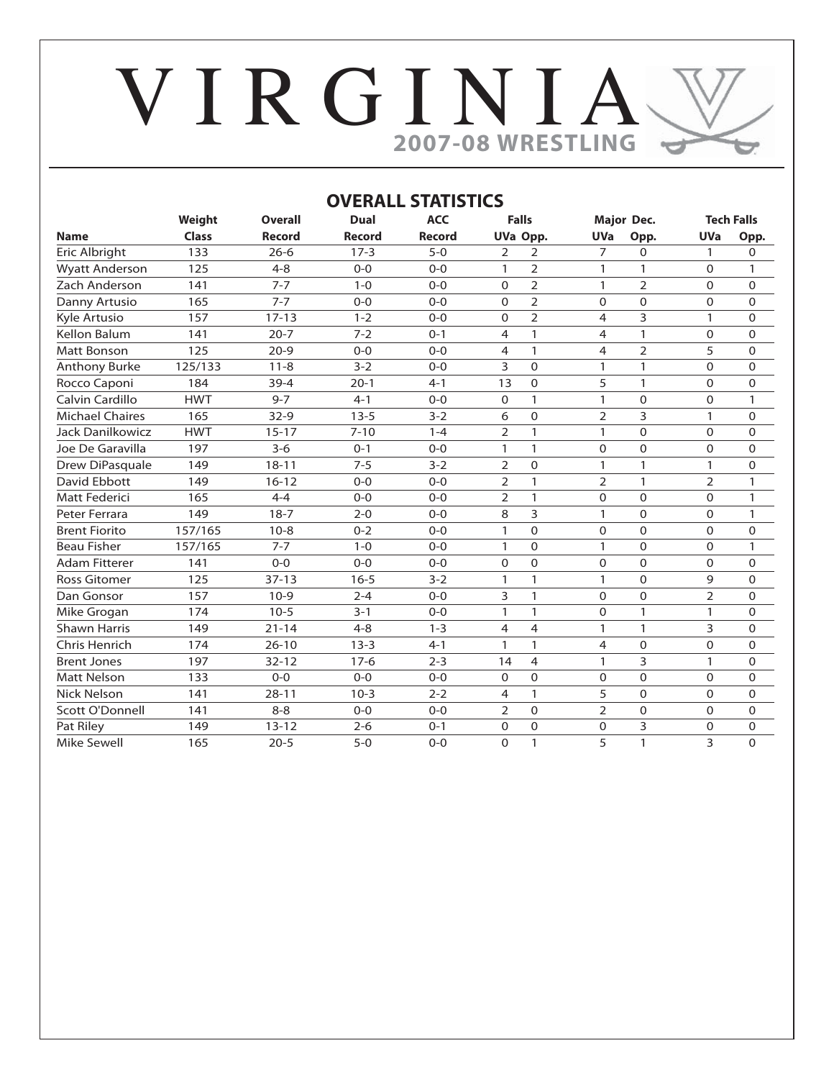# V I R G I N I A **2007-08 WRESTLING** $\Rightarrow$

|                        |              |                |               | <b>OVERALL STATISTICS</b> |                |                |                |                |                |                   |
|------------------------|--------------|----------------|---------------|---------------------------|----------------|----------------|----------------|----------------|----------------|-------------------|
|                        | Weight       | <b>Overall</b> | Dual          | <b>ACC</b>                | <b>Falls</b>   |                |                | Major Dec.     |                | <b>Tech Falls</b> |
| <b>Name</b>            | <b>Class</b> | <b>Record</b>  | <b>Record</b> | Record                    | UVa Opp.       |                | <b>UVa</b>     | Opp.           | <b>UVa</b>     | Opp.              |
| Eric Albright          | 133          | $26 - 6$       | $17-3$        | $5 - 0$                   | 2              | 2              | $\overline{7}$ | 0              | 1              | 0                 |
| <b>Wyatt Anderson</b>  | 125          | $4 - 8$        | $0 - 0$       | $0 - 0$                   | 1              | $\overline{2}$ | $\mathbf{1}$   | 1              | $\Omega$       | 1                 |
| Zach Anderson          | 141          | $7 - 7$        | $1 - 0$       | $0 - 0$                   | $\Omega$       | $\overline{2}$ | 1              | $\overline{2}$ | $\Omega$       | 0                 |
| Danny Artusio          | 165          | $7 - 7$        | $0 - 0$       | $0 - 0$                   | $\Omega$       | $\overline{2}$ | $\Omega$       | $\Omega$       | $\Omega$       | 0                 |
| Kyle Artusio           | 157          | $17 - 13$      | $1 - 2$       | $0 - 0$                   | $\Omega$       | $\overline{2}$ | 4              | 3              | $\mathbf{1}$   | 0                 |
| <b>Kellon Balum</b>    | 141          | $20 - 7$       | $7 - 2$       | $0 - 1$                   | $\overline{4}$ | $\mathbf{1}$   | 4              | $\mathbf{1}$   | $\Omega$       | 0                 |
| <b>Matt Bonson</b>     | 125          | $20-9$         | $0 - 0$       | $0 - 0$                   | 4              | $\mathbf{1}$   | 4              | $\overline{2}$ | 5              | 0                 |
| Anthony Burke          | 125/133      | $11 - 8$       | $3 - 2$       | $0 - 0$                   | 3              | $\Omega$       | 1              | 1              | $\Omega$       | 0                 |
| Rocco Caponi           | 184          | $39 - 4$       | $20-1$        | $4 - 1$                   | 13             | $\Omega$       | 5              | $\mathbf{1}$   | $\Omega$       | 0                 |
| Calvin Cardillo        | <b>HWT</b>   | $9 - 7$        | $4 - 1$       | $0 - 0$                   | $\Omega$       | $\mathbf{1}$   | $\mathbf{1}$   | $\Omega$       | $\Omega$       | $\mathbf{1}$      |
| <b>Michael Chaires</b> | 165          | $32-9$         | $13 - 5$      | $3 - 2$                   | 6              | $\Omega$       | $\overline{2}$ | 3              | $\mathbf{1}$   | 0                 |
| Jack Danilkowicz       | <b>HWT</b>   | $15 - 17$      | $7 - 10$      | $1 - 4$                   | $\overline{2}$ | $\mathbf{1}$   | $\mathbf{1}$   | $\mathbf 0$    | $\mathbf 0$    | 0                 |
| Joe De Garavilla       | 197          | $3 - 6$        | $0 - 1$       | $O-O$                     | $\mathbf{1}$   | $\mathbf{1}$   | $\Omega$       | $\Omega$       | $\Omega$       | 0                 |
| Drew DiPasquale        | 149          | $18 - 11$      | $7 - 5$       | $3 - 2$                   | 2              | $\mathbf 0$    | 1              | 1              | $\mathbf{1}$   | 0                 |
| <b>David Ebbott</b>    | 149          | $16 - 12$      | $0 - 0$       | $0 - 0$                   | $\overline{2}$ | $\mathbf{1}$   | $\overline{2}$ | $\mathbf{1}$   | $\overline{2}$ | $\mathbf{1}$      |
| Matt Federici          | 165          | $4 - 4$        | $0 - 0$       | $0 - 0$                   | $\overline{2}$ | $\mathbf{1}$   | $\Omega$       | $\Omega$       | $\Omega$       | $\mathbf{1}$      |
| Peter Ferrara          | 149          | $18-7$         | $2 - 0$       | $0 - 0$                   | 8              | 3              | $\mathbf{1}$   | $\Omega$       | $\Omega$       | $\mathbf{1}$      |
| <b>Brent Fiorito</b>   | 157/165      | $10-8$         | $0 - 2$       | $0 - 0$                   | 1              | $\Omega$       | $\Omega$       | 0              | $\Omega$       | $\Omega$          |
| <b>Beau Fisher</b>     | 157/165      | $7 - 7$        | $1 - 0$       | $0 - 0$                   | 1              | $\Omega$       | 1              | 0              | $\Omega$       | 1                 |
| <b>Adam Fitterer</b>   | 141          | $0 - 0$        | $0 - 0$       | $0 - 0$                   | $\Omega$       | $\Omega$       | $\Omega$       | $\Omega$       | $\Omega$       | 0                 |
| <b>Ross Gitomer</b>    | 125          | $37 - 13$      | $16 - 5$      | $3 - 2$                   | 1              | $\mathbf{1}$   | 1              | $\Omega$       | 9              | 0                 |
| Dan Gonsor             | 157          | $10-9$         | $2 - 4$       | $0 - 0$                   | 3              | $\mathbf{1}$   | $\Omega$       | $\Omega$       | $\overline{2}$ | 0                 |
| Mike Grogan            | 174          | $10-5$         | $3 - 1$       | $0 - 0$                   | 1              | $\mathbf{1}$   | 0              | 1              | $\mathbf{1}$   | 0                 |
| <b>Shawn Harris</b>    | 149          | $21 - 14$      | $4 - 8$       | $1 - 3$                   | $\overline{4}$ | 4              | $\mathbf{1}$   | 1              | 3              | 0                 |
| Chris Henrich          | 174          | $26 - 10$      | $13 - 3$      | $4 - 1$                   | 1              | 1              | 4              | 0              | $\mathbf 0$    | 0                 |
| <b>Brent Jones</b>     | 197          | $32 - 12$      | $17-6$        | $2 - 3$                   | 14             | 4              | $\mathbf{1}$   | 3              | $\mathbf{1}$   | 0                 |
| <b>Matt Nelson</b>     | 133          | $0 - 0$        | $0 - 0$       | $0 - 0$                   | $\mathbf 0$    | 0              | 0              | 0              | $\mathbf 0$    | 0                 |
| <b>Nick Nelson</b>     | 141          | $28 - 11$      | $10-3$        | $2 - 2$                   | $\overline{4}$ | $\mathbf{1}$   | 5              | 0              | $\Omega$       | 0                 |
| <b>Scott O'Donnell</b> | 141          | $8 - 8$        | $O-O$         | $O-O$                     | $\overline{2}$ | 0              | $\overline{2}$ | 0              | $\Omega$       | 0                 |
| Pat Riley              | 149          | $13 - 12$      | $2 - 6$       | $0 - 1$                   | $\mathbf 0$    | $\Omega$       | $\Omega$       | 3              | $\mathbf 0$    | 0                 |
| Mike Sewell            | 165          | $20 - 5$       | $5-0$         | $0 - 0$                   | $\Omega$       | $\mathbf{1}$   | 5              | 1              | 3              | $\Omega$          |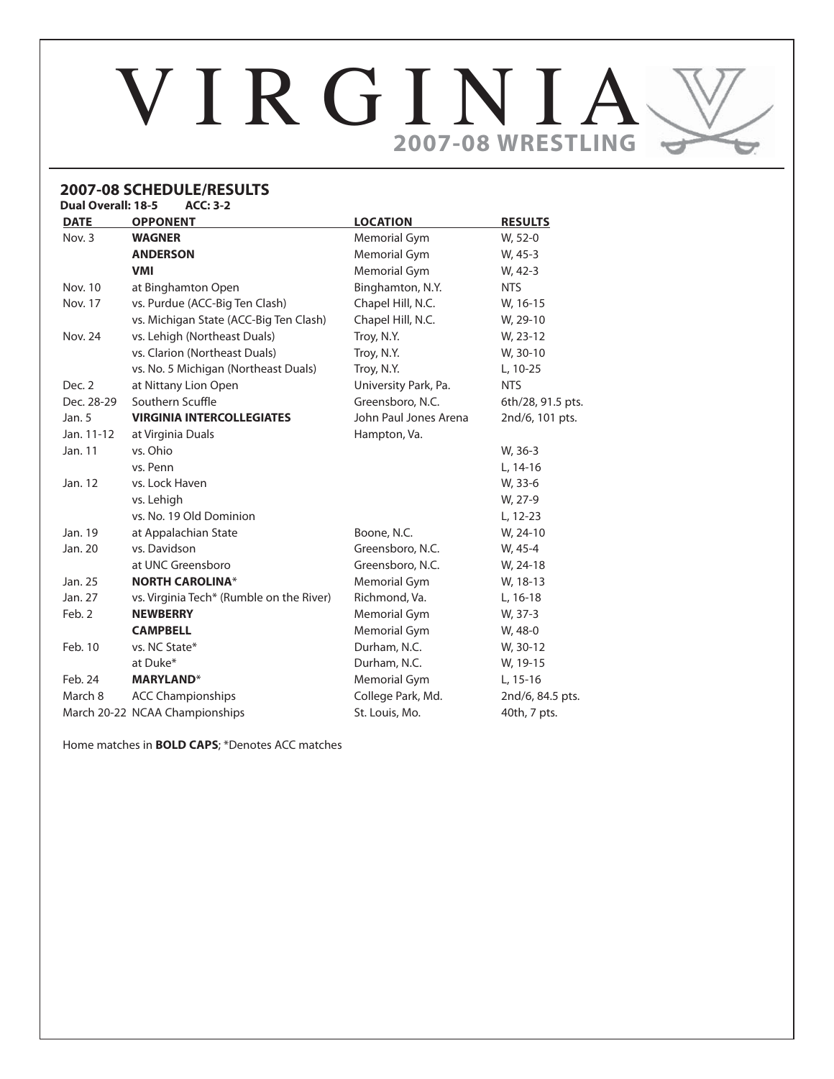# VIRGINIA **2007-08 WRESTLING**

#### **2007-08 SCHEDULE/RESULTS Dual Overall: 18-5**

| <b>DATE</b>    | <b>OPPONENT</b>                          | <b>LOCATION</b>       | <b>RESULTS</b>    |
|----------------|------------------------------------------|-----------------------|-------------------|
| Nov. 3         | <b>WAGNER</b>                            | Memorial Gym          | W, 52-0           |
|                | <b>ANDERSON</b>                          | Memorial Gym          | W, 45-3           |
|                | <b>VMI</b>                               | Memorial Gym          | W, 42-3           |
| <b>Nov. 10</b> | at Binghamton Open                       | Binghamton, N.Y.      | <b>NTS</b>        |
| <b>Nov. 17</b> | vs. Purdue (ACC-Big Ten Clash)           | Chapel Hill, N.C.     | W, 16-15          |
|                | vs. Michigan State (ACC-Big Ten Clash)   | Chapel Hill, N.C.     | W, 29-10          |
| <b>Nov. 24</b> | vs. Lehigh (Northeast Duals)             | Troy, N.Y.            | W, 23-12          |
|                | vs. Clarion (Northeast Duals)            | Troy, N.Y.            | W, 30-10          |
|                | vs. No. 5 Michigan (Northeast Duals)     | Troy, N.Y.            | L, 10-25          |
| Dec. 2         | at Nittany Lion Open                     | University Park, Pa.  | <b>NTS</b>        |
| Dec. 28-29     | Southern Scuffle                         | Greensboro, N.C.      | 6th/28, 91.5 pts. |
| Jan. $5$       | <b>VIRGINIA INTERCOLLEGIATES</b>         | John Paul Jones Arena | 2nd/6, 101 pts.   |
| Jan. 11-12     | at Virginia Duals                        | Hampton, Va.          |                   |
| Jan. 11        | vs. Ohio                                 |                       | W, 36-3           |
|                | vs. Penn                                 |                       | L, 14-16          |
| Jan. 12        | vs. Lock Haven                           |                       | W, 33-6           |
|                | vs. Lehigh                               |                       | W, 27-9           |
|                | vs. No. 19 Old Dominion                  |                       | L, 12-23          |
| Jan. 19        | at Appalachian State                     | Boone, N.C.           | W, 24-10          |
| Jan. 20        | vs. Davidson                             | Greensboro, N.C.      | W, 45-4           |
|                | at UNC Greensboro                        | Greensboro, N.C.      | W, 24-18          |
| Jan. 25        | <b>NORTH CAROLINA*</b>                   | Memorial Gym          | W, 18-13          |
| Jan. 27        | vs. Virginia Tech* (Rumble on the River) | Richmond, Va.         | $L, 16-18$        |
| Feb. 2         | <b>NEWBERRY</b>                          | Memorial Gym          | W, 37-3           |
|                | <b>CAMPBELL</b>                          | Memorial Gym          | W, 48-0           |
| Feb. 10        | vs. NC State*                            | Durham, N.C.          | W, 30-12          |
|                | at Duke*                                 | Durham, N.C.          | W, 19-15          |
| Feb. 24        | <b>MARYLAND*</b>                         | Memorial Gym          | L, 15-16          |
| March 8        | <b>ACC Championships</b>                 | College Park, Md.     | 2nd/6, 84.5 pts.  |
|                | March 20-22 NCAA Championships           | St. Louis, Mo.        | 40th, 7 pts.      |
|                |                                          |                       |                   |

Home matches in **BOLD CAPS**; \*Denotes ACC matches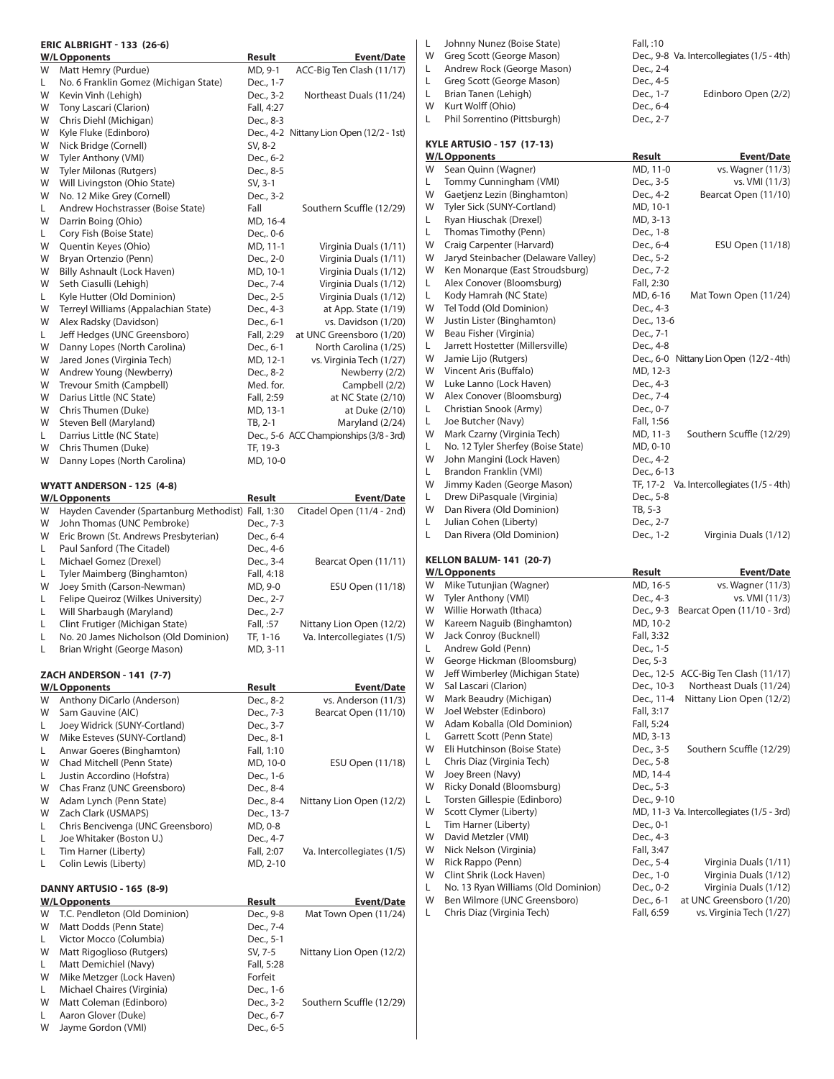|         | <b>ERIC ALBRIGHT - 133 (26-6)</b>                              |                         |                                          |
|---------|----------------------------------------------------------------|-------------------------|------------------------------------------|
|         | <b>W/L Opponents</b>                                           | Result                  | Event/Date                               |
| W       | Matt Hemry (Purdue)                                            | MD, 9-1                 | ACC-Big Ten Clash (11/17)                |
| L.<br>W | No. 6 Franklin Gomez (Michigan State)                          | Dec., 1-7<br>Dec., 3-2  |                                          |
| W       | Kevin Vinh (Lehigh)                                            |                         | Northeast Duals (11/24)                  |
| W       | Tony Lascari (Clarion)<br>Chris Diehl (Michigan)               | Fall, 4:27<br>Dec., 8-3 |                                          |
| W       | Kyle Fluke (Edinboro)                                          |                         | Dec., 4-2 Nittany Lion Open (12/2 - 1st) |
| W       | Nick Bridge (Cornell)                                          | SV, 8-2                 |                                          |
| W       | Tyler Anthony (VMI)                                            |                         |                                          |
| W       | <b>Tyler Milonas (Rutgers)</b>                                 | Dec., 6-2               |                                          |
| W       | Will Livingston (Ohio State)                                   | Dec., 8-5               |                                          |
| W       | No. 12 Mike Grey (Cornell)                                     | SV, 3-1                 |                                          |
| L.      | Andrew Hochstrasser (Boise State)                              | Dec., 3-2<br>Fall       | Southern Scuffle (12/29)                 |
| W       |                                                                | MD, 16-4                |                                          |
| L       | Darrin Boing (Ohio)<br>Cory Fish (Boise State)                 | Dec,. 0-6               |                                          |
| W       | Quentin Keyes (Ohio)                                           |                         | Virginia Duals (1/11)                    |
| W       |                                                                | MD, 11-1                |                                          |
| W       | Bryan Ortenzio (Penn)                                          | Dec., 2-0               | Virginia Duals (1/11)                    |
| W       | Billy Ashnault (Lock Haven)                                    | MD, 10-1                | Virginia Duals (1/12)                    |
|         | Seth Ciasulli (Lehigh)                                         | Dec., 7-4               | Virginia Duals (1/12)                    |
| L.      | Kyle Hutter (Old Dominion)                                     | Dec., 2-5               | Virginia Duals (1/12)                    |
| W       | Terreyl Williams (Appalachian State)<br>Alex Radsky (Davidson) | Dec., 4-3               | at App. State (1/19)                     |
| W       |                                                                | Dec., 6-1               | vs. Davidson (1/20)                      |
| L.      | Jeff Hedges (UNC Greensboro)                                   | Fall, 2:29              | at UNC Greensboro (1/20)                 |
| W       | Danny Lopes (North Carolina)                                   | Dec., 6-1               | North Carolina (1/25)                    |
| W       | Jared Jones (Virginia Tech)                                    | MD, 12-1                | vs. Virginia Tech (1/27)                 |
| W       | Andrew Young (Newberry)                                        | Dec., 8-2               | Newberry (2/2)                           |
| W       | Trevour Smith (Campbell)                                       | Med. for.               | Campbell (2/2)                           |
| W       | Darius Little (NC State)                                       | Fall, 2:59              | at NC State (2/10)                       |
| W       | Chris Thumen (Duke)                                            | MD, 13-1                | at Duke (2/10)                           |
| W       | Steven Bell (Maryland)                                         | $TB, 2-1$               | Maryland (2/24)                          |
| L.      | Darrius Little (NC State)                                      |                         | Dec., 5-6 ACC Championships (3/8 - 3rd)  |
| W       | Chris Thumen (Duke)                                            | TF, 19-3                |                                          |
| W       | Danny Lopes (North Carolina)                                   | MD, 10-0                |                                          |
|         | WYATT ANDERSON - 125 (4-8)                                     |                         |                                          |
|         | <b>W/L Opponents</b>                                           | <u>Result</u>           | Event/Date                               |
| W       | Hayden Cavender (Spartanburg Methodist) Fall, 1:30             |                         | Citadel Open (11/4 - 2nd)                |
| W       | John Thomas (UNC Pembroke)                                     | Dec., 7-3               |                                          |
| W       | Eric Brown (St. Andrews Presbyterian)                          | Dec., 6-4               |                                          |
| L       | Paul Sanford (The Citadel)                                     | Dec., 4-6               |                                          |
| L       | Michael Gomez (Drexel)                                         | Dec., 3-4               | Bearcat Open (11/11)                     |
| L       | Tyler Maimberg (Binghamton)                                    | Fall, 4:18              |                                          |
| W       | Joey Smith (Carson-Newman)                                     | MD, 9-0                 | ESU Open (11/18)                         |
| L       | Felipe Queiroz (Wilkes University)                             | Dec., 2-7               |                                          |
| L       | Will Sharbaugh (Maryland)                                      | Dec., 2-7               |                                          |
| L       | Clint Frutiger (Michigan State)                                | Fall, :57               | Nittany Lion Open (12/2)                 |
| L       | No. 20 James Nicholson (Old Dominion)                          | TF, 1-16                | Va. Intercollegiates (1/5)               |
| L       | Brian Wright (George Mason)                                    | MD, 3-11                |                                          |
|         |                                                                |                         |                                          |
|         | ZACH ANDERSON - 141 (7-7)                                      |                         |                                          |
|         | <b>W/L Opponents</b>                                           | <b>Result</b>           | <u>Event/Date</u>                        |
| W       | Anthony DiCarlo (Anderson)                                     | Dec., 8-2               | vs. Anderson (11/3)                      |
| W       | Sam Gauvine (AIC)                                              | Dec., 7-3               | Bearcat Open (11/10)                     |
| L.      | Joey Widrick (SUNY-Cortland)                                   | Dec., 3-7               |                                          |
| W       | Mike Esteves (SUNY-Cortland)                                   | Dec., 8-1               |                                          |
| L.      | Anwar Goeres (Binghamton)                                      | Fall, 1:10              |                                          |
| W       | Chad Mitchell (Penn State)                                     | MD, 10-0                | ESU Open (11/18)                         |
| L.      | Justin Accordino (Hofstra)                                     | Dec., 1-6               |                                          |
| W       | Chas Franz (UNC Greensboro)                                    | Dec., 8-4               |                                          |
| W       | Adam Lynch (Penn State)                                        | Dec., 8-4               | Nittany Lion Open (12/2)                 |
| W       | Zach Clark (USMAPS)                                            | Dec., 13-7              |                                          |
| L.      | Chris Bencivenga (UNC Greensboro)                              | MD, 0-8                 |                                          |
| L       | Joe Whitaker (Boston U.)                                       | Dec., 4-7               |                                          |
| L       | Tim Harner (Liberty)                                           | Fall, 2:07              | Va. Intercollegiates (1/5)               |
| Г       | Colin Lewis (Liberty)                                          | MD, 2-10                |                                          |
|         |                                                                |                         |                                          |
|         | <b>DANNY ARTUSIO - 165 (8-9)</b><br><b>W/L Opponents</b>       | <b>Result</b>           | <b>Event/Date</b>                        |
| W       | T.C. Pendleton (Old Dominion)                                  | Dec., 9-8               | Mat Town Open (11/24)                    |
| W       | Matt Dodds (Penn State)                                        | Dec., 7-4               |                                          |
| L       | Victor Mocco (Columbia)                                        | Dec., 5-1               |                                          |
| W       | Matt Rigoglioso (Rutgers)                                      | SV, 7-5                 | Nittany Lion Open (12/2)                 |
|         | Matt Demichiel (Navy)                                          |                         |                                          |
| L.<br>W | Mike Metzger (Lock Haven)                                      | Fall, 5:28<br>Forfeit   |                                          |
| L.      | Michael Chaires (Virginia)                                     | Dec., 1-6               |                                          |
| W       | Matt Coleman (Edinboro)                                        | Dec., 3-2               | Southern Scuffle (12/29)                 |
| L.      | Aaron Glover (Duke)                                            | Dec., 6-7               |                                          |
| W       | Jayme Gordon (VMI)                                             | Dec., 6-5               |                                          |
|         |                                                                |                         |                                          |

| L      | Johnny Nunez (Boise State)                          | Fall, :10                                  |
|--------|-----------------------------------------------------|--------------------------------------------|
| W      | Greg Scott (George Mason)                           | Dec., 9-8 Va. Intercollegiates (1/5 - 4th) |
| L      | Andrew Rock (George Mason)                          | Dec., 2-4                                  |
| L      | Greg Scott (George Mason)                           | Dec., 4-5                                  |
| L      | Brian Tanen (Lehigh)                                | Dec., 1-7<br>Edinboro Open (2/2)           |
| W      | Kurt Wolff (Ohio)                                   | Dec., 6-4                                  |
| L      | Phil Sorrentino (Pittsburgh)                        | Dec., 2-7                                  |
|        |                                                     |                                            |
|        | <b>KYLE ARTUSIO - 157 (17-13)</b>                   |                                            |
|        | <b>W/L Opponents</b>                                | <b>Result</b><br>Event/Date                |
| W      | Sean Quinn (Wagner)                                 | MD, 11-0<br>vs. Wagner (11/3)              |
| L.     | Tommy Cunningham (VMI)                              | Dec., 3-5<br>vs. VMI (11/3)                |
| W      | Gaetjenz Lezin (Binghamton)                         | Dec., 4-2<br>Bearcat Open (11/10)          |
| W      | Tyler Sick (SUNY-Cortland)                          | MD, 10-1                                   |
| L.     | Ryan Hiuschak (Drexel)                              | MD, 3-13                                   |
| L      | Thomas Timothy (Penn)                               | Dec., 1-8                                  |
| W      | Craig Carpenter (Harvard)                           | Dec., 6-4<br>ESU Open (11/18)              |
| W      | Jaryd Steinbacher (Delaware Valley)                 | Dec., 5-2                                  |
| W      | Ken Monarque (East Stroudsburg)                     | Dec., 7-2                                  |
| L.     | Alex Conover (Bloomsburg)                           | Fall, 2:30                                 |
| L      | Kody Hamrah (NC State)                              | MD, 6-16<br>Mat Town Open (11/24)          |
| W      | Tel Todd (Old Dominion)                             | Dec., 4-3                                  |
| W      | Justin Lister (Binghamton)                          | Dec., 13-6                                 |
| W      | Beau Fisher (Virginia)                              | Dec., 7-1                                  |
| L.     | Jarrett Hostetter (Millersville)                    | Dec., 4-8                                  |
| W      | Jamie Lijo (Rutgers)                                | Dec., 6-0 Nittany Lion Open (12/2 - 4th)   |
| W      | Vincent Aris (Buffalo)                              | MD, 12-3                                   |
| W      | Luke Lanno (Lock Haven)                             | Dec., 4-3                                  |
| W      | Alex Conover (Bloomsburg)                           | Dec., 7-4                                  |
| L.     | Christian Snook (Army)                              | Dec., 0-7                                  |
| L      | Joe Butcher (Navy)                                  | Fall, 1:56                                 |
| W      | Mark Czarny (Virginia Tech)                         | Southern Scuffle (12/29)<br>MD, 11-3       |
| L.     | No. 12 Tyler Sherfey (Boise State)                  | MD, 0-10                                   |
| W      | John Mangini (Lock Haven)                           | Dec., 4-2                                  |
| L.     | Brandon Franklin (VMI)                              | Dec., 6-13                                 |
| W      | Jimmy Kaden (George Mason)                          | TF, 17-2 Va. Intercollegiates (1/5 - 4th)  |
| L.     | Drew DiPasquale (Virginia)                          | Dec., 5-8                                  |
| W      | Dan Rivera (Old Dominion)                           | TB, 5-3                                    |
| L<br>L | Julian Cohen (Liberty)<br>Dan Rivera (Old Dominion) | Dec., 2-7<br>Dec., 1-2                     |
|        |                                                     | Virginia Duals (1/12)                      |
|        | <b>KELLON BALUM-141 (20-7)</b>                      |                                            |
|        | <b>W/L Opponents</b>                                | <u>Result</u><br><b>Event/Date</b>         |
| W      | Mike Tutunjian (Wagner)                             |                                            |
| W      |                                                     | MD, 16-5<br>vs. Wagner (11/3)              |
|        | Tyler Anthony (VMI)                                 | Dec., 4-3<br>vs. VMI (11/3)                |
| W      | Willie Horwath (Ithaca)                             | Dec., 9-3<br>Bearcat Open (11/10 - 3rd)    |
| W      | Kareem Naguib (Binghamton)                          | MD, 10-2                                   |
| W      | Jack Conroy (Bucknell)                              | Fall, 3:32                                 |
| L      | Andrew Gold (Penn)                                  | Dec., 1-5                                  |
| W      | George Hickman (Bloomsburg)                         | Dec, 5-3                                   |
| W      | Jeff Wimberley (Michigan State)                     | Dec., 12-5<br>ACC-Big Ten Clash (11/17)    |
| W      | Sal Lascari (Clarion)                               | Northeast Duals (11/24)<br>Dec., 10-3      |
| W      | Mark Beaudry (Michigan)                             | Dec., 11-4<br>Nittany Lion Open (12/2)     |
| W      | Joel Webster (Edinboro)                             | Fall, 3:17                                 |
| W      | Adam Koballa (Old Dominion)                         | Fall, 5:24                                 |
| L      | Garrett Scott (Penn State)                          | MD, 3-13                                   |
| W      | Eli Hutchinson (Boise State)                        | Dec., 3-5<br>Southern Scuffle (12/29)      |
| L      | Chris Diaz (Virginia Tech)                          | Dec., 5-8                                  |
| W      | Joey Breen (Navy)                                   | MD, 14-4                                   |
| W      | Ricky Donald (Bloomsburg)                           | Dec., 5-3                                  |
| L      | Torsten Gillespie (Edinboro)                        | Dec., 9-10                                 |
| W      | Scott Clymer (Liberty)                              | MD, 11-3 Va. Intercollegiates (1/5 - 3rd)  |
| L.     | Tim Harner (Liberty)                                | Dec., 0-1                                  |
| W      | David Metzler (VMI)                                 | Dec., 4-3                                  |
| W      | Nick Nelson (Virginia)                              | Fall, 3:47                                 |
| W      | Rick Rappo (Penn)                                   | Dec., 5-4<br>Virginia Duals (1/11)         |
| W      | Clint Shrik (Lock Haven)                            | Dec., 1-0<br>Virginia Duals (1/12)         |
| L.     | No. 13 Ryan Williams (Old Dominion)                 | Virginia Duals (1/12)<br>Dec., 0-2         |
| W      | Ben Wilmore (UNC Greensboro)                        | Dec., 6-1<br>at UNC Greensboro (1/20)      |
| L      | Chris Diaz (Virginia Tech)                          | vs. Virginia Tech (1/27)<br>Fall, 6:59     |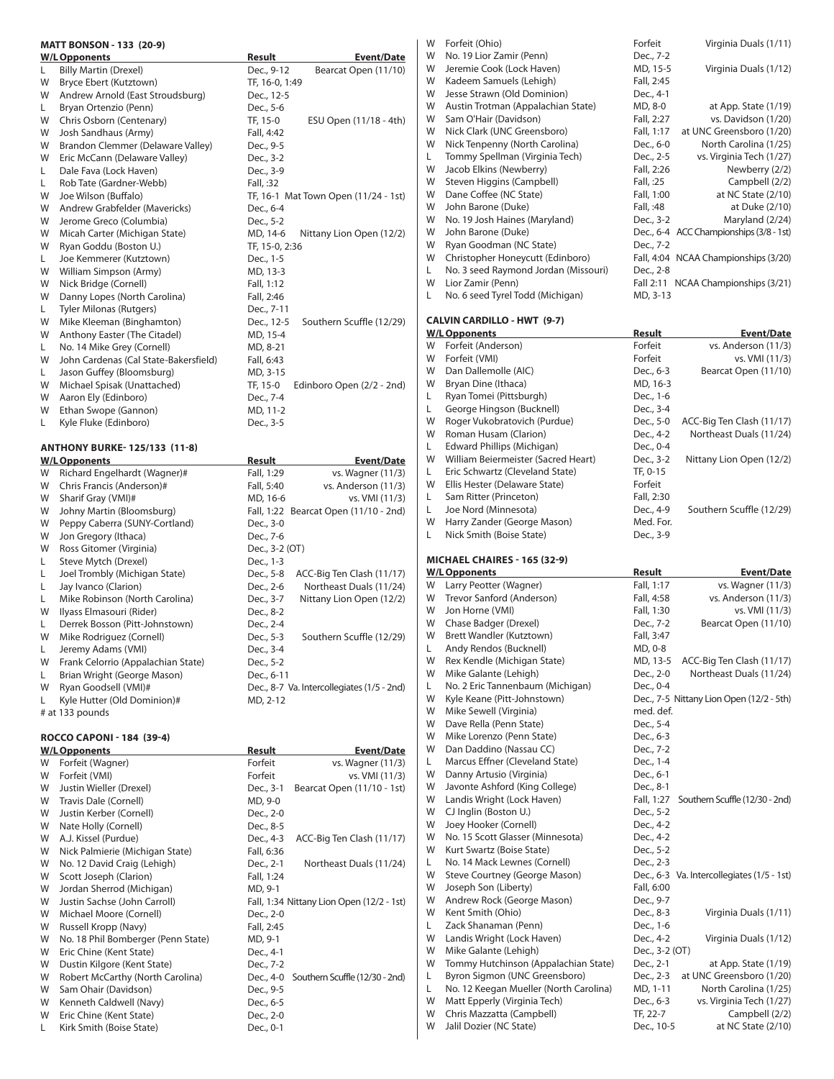|        | <b>MATT BONSON - 133 (20-9)</b>                                    |                                                                               | Forfeit (Ohio)<br>W                                                           | Forfeit                     | Virginia Duals (1/11)                                |
|--------|--------------------------------------------------------------------|-------------------------------------------------------------------------------|-------------------------------------------------------------------------------|-----------------------------|------------------------------------------------------|
|        | <b>W/L Opponents</b>                                               | Result<br><b>Event/Date</b>                                                   | No. 19 Lior Zamir (Penn)<br>W                                                 | Dec., 7-2                   |                                                      |
| L      | <b>Billy Martin (Drexel)</b>                                       | Dec., 9-12<br>Bearcat Open (11/10)                                            | Jeremie Cook (Lock Haven)<br>W<br>Kadeem Samuels (Lehigh)<br>W                | MD, 15-5<br>Fall, 2:45      | Virginia Duals (1/12)                                |
| W<br>W | Bryce Ebert (Kutztown)<br>Andrew Arnold (East Stroudsburg)         | TF, 16-0, 1:49<br>Dec., 12-5                                                  | W<br>Jesse Strawn (Old Dominion)                                              | Dec., 4-1                   |                                                      |
| L      | Bryan Ortenzio (Penn)                                              | Dec., 5-6                                                                     | W<br>Austin Trotman (Appalachian State)                                       | MD, 8-0                     | at App. State (1/19)                                 |
| W      | Chris Osborn (Centenary)                                           | TF, 15-0<br>ESU Open (11/18 - 4th)                                            | Sam O'Hair (Davidson)<br>W                                                    | Fall, 2:27                  | vs. Davidson (1/20)                                  |
| W      | Josh Sandhaus (Army)                                               | Fall, 4:42                                                                    | Nick Clark (UNC Greensboro)<br>W                                              | Fall, 1:17                  | at UNC Greensboro (1/20)                             |
| W      | Brandon Clemmer (Delaware Valley)                                  | Dec., 9-5                                                                     | W<br>Nick Tenpenny (North Carolina)                                           | Dec., 6-0                   | North Carolina (1/25)                                |
| W      | Eric McCann (Delaware Valley)                                      | Dec., 3-2                                                                     | Tommy Spellman (Virginia Tech)<br>L<br>W<br>Jacob Elkins (Newberry)           | Dec., 2-5<br>Fall, 2:26     | vs. Virginia Tech (1/27)<br>Newberry (2/2)           |
| L<br>L | Dale Fava (Lock Haven)<br>Rob Tate (Gardner-Webb)                  | Dec., 3-9<br>Fall, :32                                                        | Steven Higgins (Campbell)<br>W                                                | Fall, :25                   | Campbell (2/2)                                       |
| W      | Joe Wilson (Buffalo)                                               | TF, 16-1 Mat Town Open (11/24 - 1st)                                          | Dane Coffee (NC State)<br>W                                                   | Fall, 1:00                  | at NC State (2/10)                                   |
| W      | Andrew Grabfelder (Mavericks)                                      | Dec., 6-4                                                                     | John Barone (Duke)<br>W                                                       | Fall, :48                   | at Duke (2/10)                                       |
| W      | Jerome Greco (Columbia)                                            | Dec., 5-2                                                                     | W<br>No. 19 Josh Haines (Maryland)                                            | Dec., 3-2                   | Maryland (2/24)                                      |
| W      | Micah Carter (Michigan State)                                      | MD, 14-6<br>Nittany Lion Open (12/2)                                          | John Barone (Duke)<br>W                                                       |                             | Dec., 6-4 ACC Championships (3/8 - 1st)              |
| W      | Ryan Goddu (Boston U.)                                             | TF, 15-0, 2:36                                                                | Ryan Goodman (NC State)<br>W<br>W                                             | Dec., 7-2                   | Fall, 4:04 NCAA Championships (3/20)                 |
| L<br>W | Joe Kemmerer (Kutztown)<br>William Simpson (Army)                  | Dec., 1-5<br>MD, 13-3                                                         | Christopher Honeycutt (Edinboro)<br>No. 3 seed Raymond Jordan (Missouri)<br>L | Dec., 2-8                   |                                                      |
| W      | Nick Bridge (Cornell)                                              | Fall, 1:12                                                                    | W<br>Lior Zamir (Penn)                                                        |                             | Fall 2:11 NCAA Championships (3/21)                  |
| W      | Danny Lopes (North Carolina)                                       | Fall, 2:46                                                                    | No. 6 seed Tyrel Todd (Michigan)<br>L                                         | MD, 3-13                    |                                                      |
| L      | <b>Tyler Milonas (Rutgers)</b>                                     | Dec., 7-11                                                                    |                                                                               |                             |                                                      |
| W      | Mike Kleeman (Binghamton)                                          | Dec., 12-5<br>Southern Scuffle (12/29)                                        | <b>CALVIN CARDILLO - HWT (9-7)</b>                                            |                             |                                                      |
| W      | Anthony Easter (The Citadel)                                       | MD, 15-4                                                                      | <b>W/L Opponents</b>                                                          | Result                      | <b>Event/Date</b>                                    |
| L      | No. 14 Mike Grey (Cornell)                                         | MD, 8-21                                                                      | W<br>Forfeit (Anderson)<br>W<br>Forfeit (VMI)                                 | Forfeit<br>Forfeit          | vs. Anderson (11/3)<br>vs. VMI (11/3)                |
| W<br>L | John Cardenas (Cal State-Bakersfield)<br>Jason Guffey (Bloomsburg) | Fall, 6:43<br>MD, 3-15                                                        | W<br>Dan Dallemolle (AIC)                                                     | Dec., 6-3                   | Bearcat Open (11/10)                                 |
| W      | Michael Spisak (Unattached)                                        | TF, 15-0<br>Edinboro Open (2/2 - 2nd)                                         | Bryan Dine (Ithaca)<br>W                                                      | MD, 16-3                    |                                                      |
| W      | Aaron Ely (Edinboro)                                               | Dec., 7-4                                                                     | Ryan Tomei (Pittsburgh)<br>L                                                  | Dec., 1-6                   |                                                      |
| W      | Ethan Swope (Gannon)                                               | MD, 11-2                                                                      | L<br>George Hingson (Bucknell)                                                | Dec., 3-4                   |                                                      |
| L      | Kyle Fluke (Edinboro)                                              | Dec., 3-5                                                                     | Roger Vukobratovich (Purdue)<br>W                                             | Dec., 5-0                   | ACC-Big Ten Clash (11/17)                            |
|        |                                                                    |                                                                               | Roman Husam (Clarion)<br>W                                                    | Dec., 4-2                   | Northeast Duals (11/24)                              |
|        | <b>ANTHONY BURKE-125/133 (11-8)</b>                                |                                                                               | Edward Phillips (Michigan)<br>L<br>William Beiermeister (Sacred Heart)<br>W   | Dec., 0-4                   | Nittany Lion Open (12/2)                             |
| W      | <b>W/L Opponents</b><br>Richard Engelhardt (Wagner)#               | <b>Result</b><br><b>Event/Date</b><br>Fall, 1:29<br>vs. Wagner (11/3)         | Г<br>Eric Schwartz (Cleveland State)                                          | Dec., 3-2<br>TF, 0-15       |                                                      |
| W      | Chris Francis (Anderson)#                                          | Fall, 5:40<br>vs. Anderson (11/3)                                             | W<br>Ellis Hester (Delaware State)                                            | Forfeit                     |                                                      |
| W      | Sharif Gray (VMI)#                                                 | MD, 16-6<br>vs. VMI (11/3)                                                    | L<br>Sam Ritter (Princeton)                                                   | Fall, 2:30                  |                                                      |
| W      | Johny Martin (Bloomsburg)                                          | Fall, 1:22 Bearcat Open (11/10 - 2nd)                                         | L<br>Joe Nord (Minnesota)                                                     | Dec., 4-9                   | Southern Scuffle (12/29)                             |
| W      | Peppy Caberra (SUNY-Cortland)                                      | Dec., 3-0                                                                     | W<br>Harry Zander (George Mason)                                              | Med. For.                   |                                                      |
|        |                                                                    |                                                                               |                                                                               |                             |                                                      |
| W      | Jon Gregory (Ithaca)                                               | Dec., 7-6                                                                     | L<br>Nick Smith (Boise State)                                                 | Dec., 3-9                   |                                                      |
| W      | Ross Gitomer (Virginia)                                            | Dec., 3-2 (OT)                                                                |                                                                               |                             |                                                      |
| L      | Steve Mytch (Drexel)                                               | Dec., 1-3                                                                     | <b>MICHAEL CHAIRES - 165 (32-9)</b>                                           |                             |                                                      |
| L      | Joel Trombly (Michigan State)                                      | Dec., 5-8<br>ACC-Big Ten Clash (11/17)                                        | <b>W/L Opponents</b><br>Larry Peotter (Wagner)<br>W                           | <b>Result</b><br>Fall, 1:17 | <b>Event/Date</b><br>vs. Wagner (11/3)               |
| L<br>L | Jay Ivanco (Clarion)<br>Mike Robinson (North Carolina)             | Dec., 2-6<br>Northeast Duals (11/24)<br>Dec., 3-7<br>Nittany Lion Open (12/2) | Trevor Sanford (Anderson)<br>W                                                | Fall, 4:58                  | vs. Anderson (11/3)                                  |
| W      | Ilyass Elmasouri (Rider)                                           | Dec., 8-2                                                                     | W<br>Jon Horne (VMI)                                                          | Fall, 1:30                  | vs. VMI (11/3)                                       |
| L      | Derrek Bosson (Pitt-Johnstown)                                     | Dec., 2-4                                                                     | W<br>Chase Badger (Drexel)                                                    | Dec., 7-2                   | Bearcat Open (11/10)                                 |
| W      | Mike Rodriguez (Cornell)                                           | Southern Scuffle (12/29)<br>Dec., 5-3                                         | W<br>Brett Wandler (Kutztown)                                                 | Fall, 3:47                  |                                                      |
| L      | Jeremy Adams (VMI)                                                 | Dec., 3-4                                                                     | Andy Rendos (Bucknell)<br>L                                                   | MD, 0-8                     |                                                      |
| W      | Frank Celorrio (Appalachian State)                                 | Dec., 5-2                                                                     | W<br>Rex Kendle (Michigan State)<br>W                                         | MD, 13-5                    | ACC-Big Ten Clash (11/17)<br>Northeast Duals (11/24) |
| L<br>W | Brian Wright (George Mason)<br>Ryan Goodsell (VMI)#                | Dec., 6-11<br>Dec., 8-7 Va. Intercollegiates (1/5 - 2nd)                      | Mike Galante (Lehigh)<br>No. 2 Eric Tannenbaum (Michigan)<br>L                | Dec., 2-0<br>Dec., 0-4      |                                                      |
|        | Kyle Hutter (Old Dominion)#                                        | MD, 2-12                                                                      | Kyle Keane (Pitt-Johnstown)<br>W                                              |                             | Dec., 7-5 Nittany Lion Open (12/2 - 5th)             |
|        | # at 133 pounds                                                    |                                                                               | W<br>Mike Sewell (Virginia)                                                   | med. def.                   |                                                      |
|        |                                                                    |                                                                               | Dave Rella (Penn State)<br>W                                                  | Dec., 5-4                   |                                                      |
|        | ROCCO CAPONI - 184 (39-4)                                          |                                                                               | W<br>Mike Lorenzo (Penn State)                                                | Dec., 6-3                   |                                                      |
|        | <b>W/L Opponents</b>                                               | Result<br><b>Event/Date</b>                                                   | Dan Daddino (Nassau CC)<br>W                                                  | Dec., 7-2                   |                                                      |
| W<br>W | Forfeit (Wagner)<br>Forfeit (VMI)                                  | Forfeit<br>vs. Wagner (11/3)<br>Forfeit<br>vs. VMI (11/3)                     | Marcus Effner (Cleveland State)<br>L<br>W<br>Danny Artusio (Virginia)         | Dec., 1-4<br>Dec., 6-1      |                                                      |
| W      | Justin Wieller (Drexel)                                            | Dec., 3-1<br>Bearcat Open (11/10 - 1st)                                       | Javonte Ashford (King College)<br>W                                           | Dec., 8-1                   |                                                      |
| W      | Travis Dale (Cornell)                                              | MD, 9-0                                                                       | Landis Wright (Lock Haven)<br>W                                               | Fall, 1:27                  | Southern Scuffle (12/30 - 2nd)                       |
| W      | Justin Kerber (Cornell)                                            | Dec., 2-0                                                                     | CJ Inglin (Boston U.)<br>W                                                    | Dec., 5-2                   |                                                      |
| W      | Nate Holly (Cornell)                                               | Dec., 8-5                                                                     | W<br>Joey Hooker (Cornell)                                                    | Dec., 4-2                   |                                                      |
| W      | A.J. Kissel (Purdue)                                               | Dec., 4-3<br>ACC-Big Ten Clash (11/17)                                        | No. 15 Scott Glasser (Minnesota)<br>W                                         | Dec., 4-2                   |                                                      |
| W      | Nick Palmierie (Michigan State)                                    | Fall, 6:36                                                                    | W<br>Kurt Swartz (Boise State)<br>No. 14 Mack Lewnes (Cornell)<br>L           | Dec., 5-2<br>Dec., 2-3      |                                                      |
| W<br>W | No. 12 David Craig (Lehigh)<br>Scott Joseph (Clarion)              | Dec., 2-1<br>Northeast Duals (11/24)<br>Fall, 1:24                            | W<br>Steve Courtney (George Mason)                                            |                             | Dec., 6-3 Va. Intercollegiates (1/5 - 1st)           |
| W      | Jordan Sherrod (Michigan)                                          | MD, 9-1                                                                       | W<br>Joseph Son (Liberty)                                                     | Fall, 6:00                  |                                                      |
| W      | Justin Sachse (John Carroll)                                       | Fall, 1:34 Nittany Lion Open (12/2 - 1st)                                     | Andrew Rock (George Mason)<br>W                                               | Dec., 9-7                   |                                                      |
| W      | Michael Moore (Cornell)                                            | Dec., 2-0                                                                     | Kent Smith (Ohio)<br>W                                                        | Dec., 8-3                   | Virginia Duals (1/11)                                |
| W      | Russell Kropp (Navy)                                               | Fall, 2:45                                                                    | Zack Shanaman (Penn)<br>L                                                     | Dec., 1-6                   |                                                      |
| W      | No. 18 Phil Bomberger (Penn State)                                 | MD, 9-1                                                                       | W<br>Landis Wright (Lock Haven)<br>W                                          | Dec., 4-2                   | Virginia Duals (1/12)                                |
| W<br>W | Eric Chine (Kent State)<br>Dustin Kilgore (Kent State)             | Dec., 4-1<br>Dec., 7-2                                                        | Mike Galante (Lehigh)<br>W<br>Tommy Hutchinson (Appalachian State)            | Dec., 3-2 (OT)<br>Dec., 2-1 | at App. State (1/19)                                 |
| W      | Robert McCarthy (North Carolina)                                   | Dec., 4-0 Southern Scuffle (12/30 - 2nd)                                      | Byron Sigmon (UNC Greensboro)<br>L                                            | Dec., 2-3                   | at UNC Greensboro (1/20)                             |
| W      | Sam Ohair (Davidson)                                               | Dec., 9-5                                                                     | No. 12 Keegan Mueller (North Carolina)<br>L                                   | MD, 1-11                    | North Carolina (1/25)                                |
| W      | Kenneth Caldwell (Navy)                                            | Dec., 6-5                                                                     | Matt Epperly (Virginia Tech)<br>W                                             | Dec., 6-3                   | vs. Virginia Tech (1/27)                             |
| W<br>L | Eric Chine (Kent State)<br>Kirk Smith (Boise State)                | Dec., 2-0<br>Dec., 0-1                                                        | Chris Mazzatta (Campbell)<br>W<br>W<br>Jalil Dozier (NC State)                | TF, 22-7<br>Dec., 10-5      | Campbell (2/2)<br>at NC State (2/10)                 |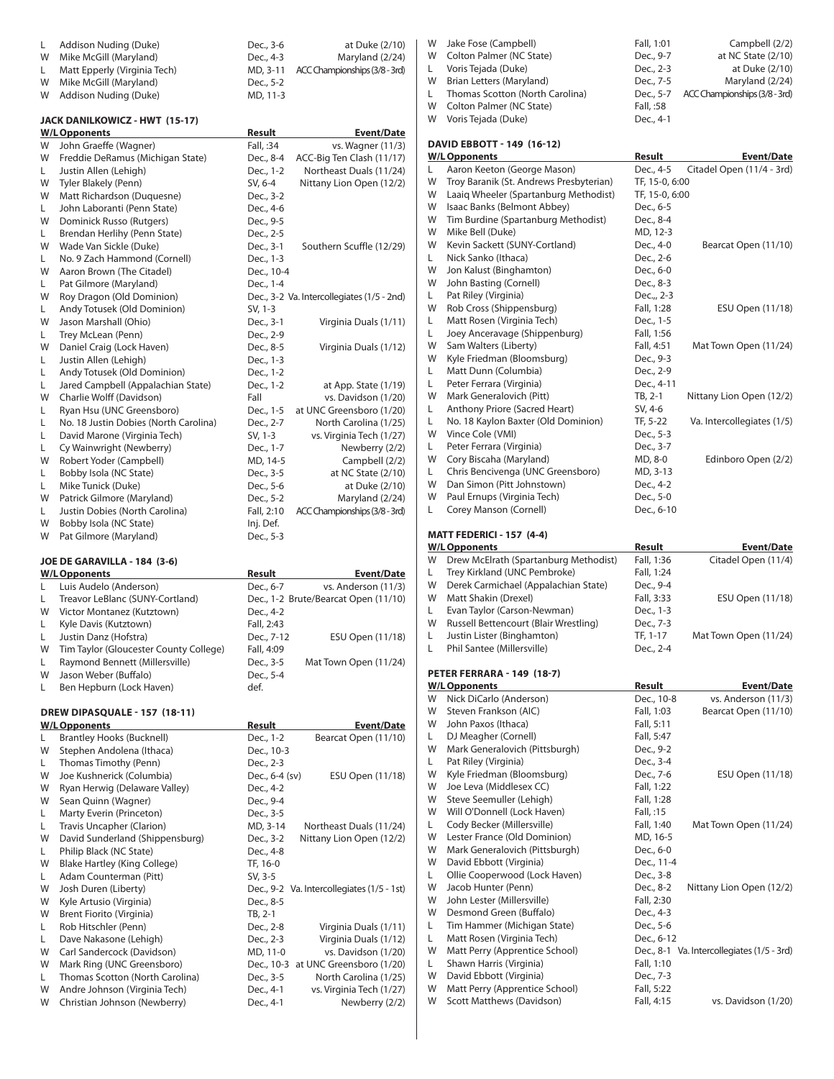| L Addison Nuding (Duke)        | Dec., 3-6 | at Duke (2/10)                       |
|--------------------------------|-----------|--------------------------------------|
| W Mike McGill (Maryland)       | Dec., 4-3 | Maryland (2/24)                      |
| L Matt Epperly (Virginia Tech) |           | MD, 3-11 ACC Championships (3/8-3rd) |
| W Mike McGill (Maryland)       | Dec., 5-2 |                                      |
| W Addison Nuding (Duke)        | MD, 11-3  |                                      |

#### **JACK DANILKOWICZ - HWT (15-17)**

|    | <b>W/L Opponents</b>                  | Result     | <b>Event/Date</b>                          |
|----|---------------------------------------|------------|--------------------------------------------|
| W  | John Graeffe (Wagner)                 | Fall, :34  | vs. Wagner (11/3)                          |
| W  | Freddie DeRamus (Michigan State)      | Dec., 8-4  | ACC-Big Ten Clash (11/17)                  |
| L  | Justin Allen (Lehigh)                 | Dec., 1-2  | Northeast Duals (11/24)                    |
| W  | Tyler Blakely (Penn)                  | SV, 6-4    | Nittany Lion Open (12/2)                   |
| W  | Matt Richardson (Duquesne)            | Dec., 3-2  |                                            |
| L  | John Laboranti (Penn State)           | Dec., 4-6  |                                            |
| W  | Dominick Russo (Rutgers)              | Dec., 9-5  |                                            |
| L. | Brendan Herlihy (Penn State)          | Dec., 2-5  |                                            |
| W  | Wade Van Sickle (Duke)                | Dec., 3-1  | Southern Scuffle (12/29)                   |
| L  | No. 9 Zach Hammond (Cornell)          | Dec., 1-3  |                                            |
| W  | Aaron Brown (The Citadel)             | Dec., 10-4 |                                            |
| L  | Pat Gilmore (Maryland)                | Dec., 1-4  |                                            |
| W  | Roy Dragon (Old Dominion)             |            | Dec., 3-2 Va. Intercollegiates (1/5 - 2nd) |
| L. | Andy Totusek (Old Dominion)           | SV, 1-3    |                                            |
| W  | Jason Marshall (Ohio)                 | Dec., 3-1  | Virginia Duals (1/11)                      |
| L  | Trey McLean (Penn)                    | Dec., 2-9  |                                            |
| W  | Daniel Craig (Lock Haven)             | Dec., 8-5  | Virginia Duals (1/12)                      |
| L  | Justin Allen (Lehigh)                 | Dec., 1-3  |                                            |
| L  | Andy Totusek (Old Dominion)           | Dec., 1-2  |                                            |
| L  | Jared Campbell (Appalachian State)    | Dec., 1-2  | at App. State (1/19)                       |
| W  | Charlie Wolff (Davidson)              | Fall       | vs. Davidson (1/20)                        |
| L  | Ryan Hsu (UNC Greensboro)             | Dec., 1-5  | at UNC Greensboro (1/20)                   |
| L  | No. 18 Justin Dobies (North Carolina) | Dec., 2-7  | North Carolina (1/25)                      |
| L  | David Marone (Virginia Tech)          | SV, 1-3    | vs. Virginia Tech (1/27)                   |
| L  | Cy Wainwright (Newberry)              | Dec., 1-7  | Newberry (2/2)                             |
| W  | Robert Yoder (Campbell)               | MD, 14-5   | Campbell (2/2)                             |
| L  | Bobby Isola (NC State)                | Dec., 3-5  | at NC State (2/10)                         |
| L  | Mike Tunick (Duke)                    | Dec., 5-6  | at Duke (2/10)                             |
| W  | Patrick Gilmore (Maryland)            | Dec., 5-2  | Maryland (2/24)                            |
| L  | Justin Dobies (North Carolina)        | Fall, 2:10 | ACC Championships (3/8 - 3rd)              |
| W  | Bobby Isola (NC State)                | Inj. Def.  |                                            |
| W  | Pat Gilmore (Maryland)                | Dec., 5-3  |                                            |
|    |                                       |            |                                            |

#### **JOE DE GARAVILLA - 184 (3-6)**

|   | <b>W/L Opponents</b>                   | Result     | <b>Event/Date</b>                    |
|---|----------------------------------------|------------|--------------------------------------|
|   | Luis Audelo (Anderson)                 | Dec., 6-7  | vs. Anderson (11/3)                  |
| L | Treavor LeBlanc (SUNY-Cortland)        |            | Dec., 1-2 Brute/Bearcat Open (11/10) |
| W | Victor Montanez (Kutztown)             | Dec., 4-2  |                                      |
|   | Kyle Davis (Kutztown)                  | Fall, 2:43 |                                      |
| L | Justin Danz (Hofstra)                  | Dec., 7-12 | ESU Open (11/18)                     |
| W | Tim Taylor (Gloucester County College) | Fall, 4:09 |                                      |
| L | Raymond Bennett (Millersville)         | Dec., 3-5  | Mat Town Open (11/24)                |
| W | Jason Weber (Buffalo)                  | Dec., 5-4  |                                      |
|   | Ben Hepburn (Lock Haven)               | def.       |                                      |

## **DREW DIPASQUALE - 157 (18-11)**

|   | <b>W/L Opponents</b>             | Result<br><b>Event/Date</b>                |
|---|----------------------------------|--------------------------------------------|
| L | <b>Brantley Hooks (Bucknell)</b> | Bearcat Open (11/10)<br>Dec., 1-2          |
| W | Stephen Andolena (Ithaca)        | Dec., 10-3                                 |
| L | Thomas Timothy (Penn)            | Dec., 2-3                                  |
| W | Joe Kushnerick (Columbia)        | Dec., 6-4 (sv)<br>ESU Open (11/18)         |
| W | Ryan Herwig (Delaware Valley)    | Dec., 4-2                                  |
| W | Sean Quinn (Wagner)              | Dec., 9-4                                  |
| L | Marty Everin (Princeton)         | Dec., 3-5                                  |
| L | Travis Uncapher (Clarion)        | MD, 3-14<br>Northeast Duals (11/24)        |
| W | David Sunderland (Shippensburg)  | Nittany Lion Open (12/2)<br>Dec., 3-2      |
| L | Philip Black (NC State)          | Dec., 4-8                                  |
| W | Blake Hartley (King College)     | TF, 16-0                                   |
| L | Adam Counterman (Pitt)           | SV, 3-5                                    |
| W | Josh Duren (Liberty)             | Dec., 9-2 Va. Intercollegiates (1/5 - 1st) |
| W | Kyle Artusio (Virginia)          | Dec., 8-5                                  |
| W | Brent Fiorito (Virginia)         | TB, 2-1                                    |
| L | Rob Hitschler (Penn)             | Dec., 2-8<br>Virginia Duals (1/11)         |
| L | Dave Nakasone (Lehigh)           | Virginia Duals (1/12)<br>Dec., 2-3         |
| W | Carl Sandercock (Davidson)       | MD, 11-0<br>vs. Davidson (1/20)            |
| W | Mark Ring (UNC Greensboro)       | Dec., 10-3 at UNC Greensboro (1/20)        |
| L | Thomas Scotton (North Carolina)  | North Carolina (1/25)<br>Dec., 3-5         |
| W | Andre Johnson (Virginia Tech)    | vs. Virginia Tech (1/27)<br>Dec., 4-1      |
| W | Christian Johnson (Newberry)     | Newberry (2/2)<br>Dec., 4-1                |

|    | W Jake Fose (Campbell)            | Fall, 1:01 | Campbell (2/2)                        |
|----|-----------------------------------|------------|---------------------------------------|
|    | W Colton Palmer (NC State)        | Dec., 9-7  | at NC State (2/10)                    |
| L. | Voris Tejada (Duke)               | Dec., 2-3  | at Duke (2/10)                        |
|    | W Brian Letters (Maryland)        | Dec., 7-5  | Maryland (2/24)                       |
|    | L Thomas Scotton (North Carolina) |            | Dec., 5-7 ACC Championships (3/8-3rd) |
|    | W Colton Palmer (NC State)        | Fall, :58  |                                       |
|    | W Voris Tejada (Duke)             | Dec., 4-1  |                                       |

#### **DAVID EBBOTT - 149 (16-12)**

|    | <b>W/L Opponents</b>                    | <b>Result</b>  | <b>Event/Date</b>          |
|----|-----------------------------------------|----------------|----------------------------|
| L. | Aaron Keeton (George Mason)             | Dec., 4-5      | Citadel Open (11/4 - 3rd)  |
| W  | Troy Baranik (St. Andrews Presbyterian) | TF, 15-0, 6:00 |                            |
| W  | Laaig Wheeler (Spartanburg Methodist)   | TF, 15-0, 6:00 |                            |
| W  | Isaac Banks (Belmont Abbey)             | Dec., 6-5      |                            |
| W  | Tim Burdine (Spartanburg Methodist)     | Dec., 8-4      |                            |
| W  | Mike Bell (Duke)                        | MD, 12-3       |                            |
| W  | Kevin Sackett (SUNY-Cortland)           | Dec., 4-0      | Bearcat Open (11/10)       |
| L  | Nick Sanko (Ithaca)                     | Dec., 2-6      |                            |
| W  | Jon Kalust (Binghamton)                 | Dec., 6-0      |                            |
| W  | John Basting (Cornell)                  | Dec., 8-3      |                            |
| L. | Pat Riley (Virginia)                    | Dec.,, 2-3     |                            |
| W  | Rob Cross (Shippensburg)                | Fall, 1:28     | ESU Open (11/18)           |
| L  | Matt Rosen (Virginia Tech)              | Dec., 1-5      |                            |
| L  | Joey Anceravage (Shippenburg)           | Fall, 1:56     |                            |
| W  | Sam Walters (Liberty)                   | Fall, 4:51     | Mat Town Open (11/24)      |
| W  | Kyle Friedman (Bloomsburg)              | Dec., 9-3      |                            |
| L  | Matt Dunn (Columbia)                    | Dec., 2-9      |                            |
| L  | Peter Ferrara (Virginia)                | Dec., 4-11     |                            |
| W  | Mark Generalovich (Pitt)                | TB, 2-1        | Nittany Lion Open (12/2)   |
| L  | Anthony Priore (Sacred Heart)           | SV, 4-6        |                            |
| L  | No. 18 Kaylon Baxter (Old Dominion)     | TF, 5-22       | Va. Intercollegiates (1/5) |
| W  | Vince Cole (VMI)                        | Dec., 5-3      |                            |
| L  | Peter Ferrara (Virginia)                | Dec., 3-7      |                            |
| W  | Cory Biscaha (Maryland)                 | MD, 8-0        | Edinboro Open (2/2)        |
| L  | Chris Bencivenga (UNC Greensboro)       | MD, 3-13       |                            |
| W  | Dan Simon (Pitt Johnstown)              | Dec., 4-2      |                            |
| W  | Paul Ernups (Virginia Tech)             | Dec., 5-0      |                            |
| L  | Corey Manson (Cornell)                  | Dec., 6-10     |                            |
|    |                                         |                |                            |

#### **MATT FEDERICI - 157 (4-4)**

|    | <b>W/L Opponents</b>                  | Result     | <b>Event/Date</b>                          |
|----|---------------------------------------|------------|--------------------------------------------|
| W  | Drew McElrath (Spartanburg Methodist) | Fall, 1:36 | Citadel Open (11/4)                        |
| L. | Trey Kirkland (UNC Pembroke)          | Fall, 1:24 |                                            |
| W  | Derek Carmichael (Appalachian State)  | Dec., 9-4  |                                            |
| W  | Matt Shakin (Drexel)                  | Fall, 3:33 | ESU Open (11/18)                           |
| L. | Evan Taylor (Carson-Newman)           | Dec., 1-3  |                                            |
| W  | Russell Bettencourt (Blair Wrestling) | Dec., 7-3  |                                            |
| L. | Justin Lister (Binghamton)            | TF, 1-17   | Mat Town Open (11/24)                      |
| L  | Phil Santee (Millersville)            | Dec., 2-4  |                                            |
|    | <b>PETER FERRARA - 149 (18-7)</b>     |            |                                            |
|    | <b>W/L Opponents</b>                  | Result     | <b>Event/Date</b>                          |
| W  | Nick DiCarlo (Anderson)               | Dec., 10-8 | vs. Anderson (11/3)                        |
| W  | Steven Frankson (AIC)                 | Fall, 1:03 | Bearcat Open (11/10)                       |
| W  | John Paxos (Ithaca)                   | Fall, 5:11 |                                            |
| L. | DJ Meagher (Cornell)                  | Fall, 5:47 |                                            |
| W  | Mark Generalovich (Pittsburgh)        | Dec., 9-2  |                                            |
| L. | Pat Riley (Virginia)                  | Dec., 3-4  |                                            |
| W  | Kyle Friedman (Bloomsburg)            | Dec., 7-6  | ESU Open (11/18)                           |
| W  | Joe Leva (Middlesex CC)               | Fall, 1:22 |                                            |
| W  | Steve Seemuller (Lehigh)              | Fall, 1:28 |                                            |
| W  | Will O'Donnell (Lock Haven)           | Fall, :15  |                                            |
| L. | Cody Becker (Millersville)            | Fall, 1:40 | Mat Town Open (11/24)                      |
| W  | Lester France (Old Dominion)          | MD, 16-5   |                                            |
| W  | Mark Generalovich (Pittsburgh)        | Dec., 6-0  |                                            |
| W  | David Ebbott (Virginia)               | Dec., 11-4 |                                            |
| L. | Ollie Cooperwood (Lock Haven)         | Dec., 3-8  |                                            |
| W  | Jacob Hunter (Penn)                   | Dec., 8-2  | Nittany Lion Open (12/2)                   |
| W  | John Lester (Millersville)            | Fall, 2:30 |                                            |
| W  | Desmond Green (Buffalo)               | Dec., 4-3  |                                            |
| L. | Tim Hammer (Michigan State)           | Dec., 5-6  |                                            |
| L. | Matt Rosen (Virginia Tech)            | Dec., 6-12 |                                            |
| W  | Matt Perry (Apprentice School)        |            | Dec., 8-1 Va. Intercollegiates (1/5 - 3rd) |
| L. | Shawn Harris (Virginia)               | Fall, 1:10 |                                            |
| W  | David Ebbott (Virginia)               | Dec., 7-3  |                                            |
| W  | Matt Perry (Apprentice School)        | Fall, 5:22 |                                            |
| W  | Scott Matthews (Davidson)             | Fall, 4:15 | vs. Davidson (1/20)                        |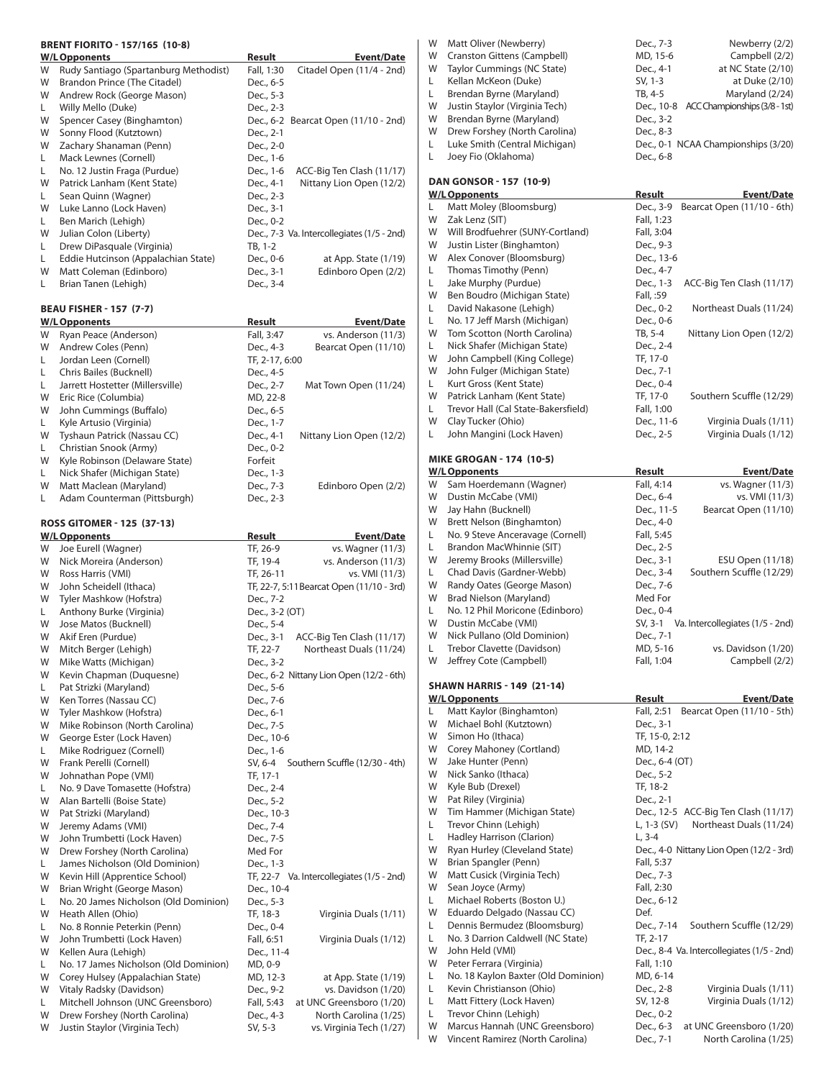#### **BRENT FIORITO - 157/165 (10-8)**

|   | <b>W/L Opponents</b>                  | <b>Result</b> | <b>Event/Date</b>                          |
|---|---------------------------------------|---------------|--------------------------------------------|
| W | Rudy Santiago (Spartanburg Methodist) | Fall, 1:30    | Citadel Open (11/4 - 2nd)                  |
| W | Brandon Prince (The Citadel)          | Dec., 6-5     |                                            |
| W | Andrew Rock (George Mason)            | Dec., 5-3     |                                            |
| L | Willy Mello (Duke)                    | Dec., 2-3     |                                            |
| W | Spencer Casey (Binghamton)            |               | Dec., 6-2 Bearcat Open (11/10 - 2nd)       |
| W | Sonny Flood (Kutztown)                | Dec., 2-1     |                                            |
| W | Zachary Shanaman (Penn)               | Dec., 2-0     |                                            |
| L | Mack Lewnes (Cornell)                 | Dec., 1-6     |                                            |
| L | No. 12 Justin Fraga (Purdue)          | Dec., 1-6     | ACC-Big Ten Clash (11/17)                  |
| W | Patrick Lanham (Kent State)           | Dec., 4-1     | Nittany Lion Open (12/2)                   |
| L | Sean Quinn (Wagner)                   | Dec., 2-3     |                                            |
| W | Luke Lanno (Lock Haven)               | Dec., 3-1     |                                            |
| L | Ben Marich (Lehigh)                   | Dec., 0-2     |                                            |
| W | Julian Colon (Liberty)                |               | Dec., 7-3 Va. Intercollegiates (1/5 - 2nd) |
| L | Drew DiPasquale (Virginia)            | TB, 1-2       |                                            |
| L | Eddie Hutcinson (Appalachian State)   | Dec., 0-6     | at App. State $(1/19)$                     |
| W | Matt Coleman (Edinboro)               | Dec., 3-1     | Edinboro Open (2/2)                        |
| L | Brian Tanen (Lehigh)                  | Dec., 3-4     |                                            |

### **BEAU FISHER - 157 (7-7)**

|   | <b>W/L Opponents</b>             | Result         | <b>Event/Date</b>        |
|---|----------------------------------|----------------|--------------------------|
| W | Ryan Peace (Anderson)            | Fall, 3:47     | vs. Anderson (11/3)      |
| W | Andrew Coles (Penn)              | Dec., 4-3      | Bearcat Open (11/10)     |
| L | Jordan Leen (Cornell)            | TF. 2-17. 6:00 |                          |
| L | Chris Bailes (Bucknell)          | Dec., 4-5      |                          |
| L | Jarrett Hostetter (Millersville) | Dec., 2-7      | Mat Town Open (11/24)    |
| W | Eric Rice (Columbia)             | MD, 22-8       |                          |
| W | John Cummings (Buffalo)          | Dec., 6-5      |                          |
| L | Kyle Artusio (Virginia)          | Dec., 1-7      |                          |
| W | Tyshaun Patrick (Nassau CC)      | Dec., 4-1      | Nittany Lion Open (12/2) |
| L | Christian Snook (Army)           | Dec., 0-2      |                          |
| W | Kyle Robinson (Delaware State)   | Forfeit        |                          |
| L | Nick Shafer (Michigan State)     | Dec., 1-3      |                          |
| W | Matt Maclean (Maryland)          | Dec., 7-3      | Edinboro Open (2/2)      |
| L | Adam Counterman (Pittsburgh)     | Dec., 2-3      |                          |

## **ROSS GITOMER - 125 (37-13)**

|    | <b>W/L Opponents</b>                  | Result                                    | <b>Event/Date</b> |
|----|---------------------------------------|-------------------------------------------|-------------------|
| W  | Joe Eurell (Wagner)                   | TF, 26-9<br>vs. Wagner (11/3)             |                   |
| W  | Nick Moreira (Anderson)               | TF, 19-4<br>vs. Anderson (11/3)           |                   |
| W  | Ross Harris (VMI)                     | vs. VMI (11/3)<br>TF, 26-11               |                   |
| W  | John Scheidell (Ithaca)               | TF, 22-7, 5:11 Bearcat Open (11/10 - 3rd) |                   |
| W  | Tyler Mashkow (Hofstra)               | Dec., 7-2                                 |                   |
| L. | Anthony Burke (Virginia)              | Dec., 3-2 (OT)                            |                   |
| W  | Jose Matos (Bucknell)                 | Dec., 5-4                                 |                   |
| W  | Akif Eren (Purdue)                    | Dec., 3-1<br>ACC-Big Ten Clash (11/17)    |                   |
| W  | Mitch Berger (Lehigh)                 | Northeast Duals (11/24)<br>TF, 22-7       |                   |
| W  | Mike Watts (Michigan)                 | Dec., 3-2                                 |                   |
| W  | Kevin Chapman (Duquesne)              | Dec., 6-2 Nittany Lion Open (12/2 - 6th)  |                   |
| L. | Pat Strizki (Maryland)                | Dec., 5-6                                 |                   |
| W  | Ken Torres (Nassau CC)                | Dec., 7-6                                 |                   |
| W  | Tyler Mashkow (Hofstra)               | Dec., 6-1                                 |                   |
| W  | Mike Robinson (North Carolina)        | Dec., 7-5                                 |                   |
| W  | George Ester (Lock Haven)             | Dec., 10-6                                |                   |
| L  | Mike Rodriguez (Cornell)              | Dec., 1-6                                 |                   |
| W  | Frank Perelli (Cornell)               | Southern Scuffle (12/30 - 4th)<br>SV, 6-4 |                   |
| W  | Johnathan Pope (VMI)                  | TF, 17-1                                  |                   |
| L  | No. 9 Dave Tomasette (Hofstra)        | Dec., 2-4                                 |                   |
| W  | Alan Bartelli (Boise State)           | Dec., 5-2                                 |                   |
| W  | Pat Strizki (Maryland)                | Dec., 10-3                                |                   |
| W  | Jeremy Adams (VMI)                    | Dec., 7-4                                 |                   |
| W  | John Trumbetti (Lock Haven)           | Dec., 7-5                                 |                   |
| W  | Drew Forshey (North Carolina)         | Med For                                   |                   |
| L. | James Nicholson (Old Dominion)        | Dec., 1-3                                 |                   |
| W  | Kevin Hill (Apprentice School)        | TF, 22-7 Va. Intercollegiates (1/5 - 2nd) |                   |
| W  | Brian Wright (George Mason)           | Dec., 10-4                                |                   |
| L. | No. 20 James Nicholson (Old Dominion) | Dec., 5-3                                 |                   |
| W  | Heath Allen (Ohio)                    | Virginia Duals (1/11)<br>TF, 18-3         |                   |
| L. | No. 8 Ronnie Peterkin (Penn)          | Dec., 0-4                                 |                   |
| W  | John Trumbetti (Lock Haven)           | Fall, 6:51<br>Virginia Duals (1/12)       |                   |
| W  | Kellen Aura (Lehigh)                  | Dec., 11-4                                |                   |
| L  | No. 17 James Nicholson (Old Dominion) | MD, 0-9                                   |                   |
| W  | Corey Hulsey (Appalachian State)      | MD, 12-3<br>at App. State (1/19)          |                   |
| W  | Vitaly Radsky (Davidson)              | Dec., 9-2<br>vs. Davidson (1/20)          |                   |
| L  | Mitchell Johnson (UNC Greensboro)     | at UNC Greensboro (1/20)<br>Fall, 5:43    |                   |
| W  | Drew Forshey (North Carolina)         | Dec., 4-3<br>North Carolina (1/25)        |                   |
| W  | Justin Staylor (Virginia Tech)        | vs. Virginia Tech (1/27)<br>SV, 5-3       |                   |

| Matt Oliver (Newberry)              | Dec., 7-3                                       | Newberry (2/2)                           |
|-------------------------------------|-------------------------------------------------|------------------------------------------|
| Cranston Gittens (Campbell)         | MD, 15-6                                        | Campbell (2/2)                           |
| Taylor Cummings (NC State)          | Dec., 4-1                                       | at NC State $(2/10)$                     |
| Kellan McKeon (Duke)                | SV, 1-3                                         | at Duke (2/10)                           |
| Brendan Byrne (Maryland)            | TB, 4-5                                         | Maryland (2/24)                          |
| Justin Staylor (Virginia Tech)      |                                                 | Dec., 10-8 ACC Championships (3/8 - 1st) |
| Brendan Byrne (Maryland)            | Dec., 3-2                                       |                                          |
| Drew Forshey (North Carolina)       | Dec., 8-3                                       |                                          |
| Luke Smith (Central Michigan)       |                                                 | Dec., 0-1 NCAA Championships (3/20)      |
| Joey Fio (Oklahoma)                 | Dec., 6-8                                       |                                          |
|                                     |                                                 |                                          |
|                                     | Result                                          | <b>Event/Date</b>                        |
| Matt Moley (Bloomsburg)             | Dec., 3-9                                       | Bearcat Open (11/10 - 6th)               |
| Zak Lenz (SIT)                      | Fall, 1:23                                      |                                          |
| Will Brodfuehrer (SUNY-Cortland)    | Fall, 3:04                                      |                                          |
| Justin Lister (Binghamton)          | Dec., 9-3                                       |                                          |
| Alex Conover (Bloomsburg)           | Dec., 13-6                                      |                                          |
| Thomas Timothy (Penn)               | Dec., 4-7                                       |                                          |
| Jake Murphy (Purdue)                | Dec., 1-3                                       | ACC-Big Ten Clash (11/17)                |
| Ben Boudro (Michigan State)         | Fall, :59                                       |                                          |
| David Nakasone (Lehigh)             | Dec., 0-2                                       | Northeast Duals (11/24)                  |
| No. 17 Jeff Marsh (Michigan)        | Dec., 0-6                                       |                                          |
| Tom Scotton (North Carolina)        | TB, 5-4                                         | Nittany Lion Open (12/2)                 |
| Nick Shafer (Michigan State)        | Dec., 2-4                                       |                                          |
| John Campbell (King College)        | TF, 17-0                                        |                                          |
| John Fulger (Michigan State)        | Dec., 7-1                                       |                                          |
| Kurt Gross (Kent State)             | Dec., 0-4                                       |                                          |
| Patrick Lanham (Kent State)         | TF, 17-0                                        | Southern Scuffle (12/29)                 |
| Trevor Hall (Cal State-Bakersfield) | Fall, 1:00                                      |                                          |
| Clay Tucker (Ohio)                  | Dec., 11-6                                      | Virginia Duals (1/11)                    |
| John Mangini (Lock Haven)           | Dec., 2-5                                       | Virginia Duals (1/12)                    |
|                                     | DAN GONSOR - 157 (10-9)<br><b>W/L Opponents</b> |                                          |

#### **MIKE GROGAN - 174 (10-5)**

|   | W/LOpponents                      | Result     | <b>Event/Date</b>                |
|---|-----------------------------------|------------|----------------------------------|
| W | Sam Hoerdemann (Wagner)           | Fall, 4:14 | vs. Wagner (11/3)                |
| W | Dustin McCabe (VMI)               | Dec., 6-4  | vs. VMI (11/3)                   |
| W | Jay Hahn (Bucknell)               | Dec., 11-5 | Bearcat Open (11/10)             |
| W | Brett Nelson (Binghamton)         | Dec., 4-0  |                                  |
| L | No. 9 Steve Anceravage (Cornell)  | Fall, 5:45 |                                  |
| L | Brandon MacWhinnie (SIT)          | Dec., 2-5  |                                  |
| W | Jeremy Brooks (Millersville)      | Dec., 3-1  | ESU Open (11/18)                 |
| L | Chad Davis (Gardner-Webb)         | Dec., 3-4  | Southern Scuffle (12/29)         |
| W | Randy Oates (George Mason)        | Dec., 7-6  |                                  |
| W | Brad Nielson (Maryland)           | Med For    |                                  |
| L | No. 12 Phil Moricone (Edinboro)   | Dec., 0-4  |                                  |
| W | Dustin McCabe (VMI)               | SV, 3-1    | Va. Intercollegiates (1/5 - 2nd) |
| W | Nick Pullano (Old Dominion)       | Dec., 7-1  |                                  |
| L | Trebor Clavette (Davidson)        | MD, 5-16   | vs. Davidson (1/20)              |
| W | Jeffrey Cote (Campbell)           | Fall, 1:04 | Campbell (2/2)                   |
|   | <b>SHAWN HARRIS - 149 (21-14)</b> |            |                                  |
|   | <b>W/L Opponents</b>              | Result     | <b>Event/Date</b>                |

|   | W/L UPPURTIUS                       | nesuit<br>EVEIII/Dale                      |
|---|-------------------------------------|--------------------------------------------|
| L | Matt Kaylor (Binghamton)            | Bearcat Open (11/10 - 5th)<br>Fall, 2:51   |
| W | Michael Bohl (Kutztown)             | Dec., 3-1                                  |
| W | Simon Ho (Ithaca)                   | TF, 15-0, 2:12                             |
| W | Corey Mahoney (Cortland)            | MD, 14-2                                   |
| W | Jake Hunter (Penn)                  | Dec., 6-4 (OT)                             |
| W | Nick Sanko (Ithaca)                 | Dec., 5-2                                  |
| W | Kyle Bub (Drexel)                   | TF, 18-2                                   |
| W | Pat Riley (Virginia)                | Dec., 2-1                                  |
| W | Tim Hammer (Michigan State)         | Dec., 12-5 ACC-Big Ten Clash (11/17)       |
| L | Trevor Chinn (Lehigh)               | Northeast Duals (11/24)<br>L, 1-3 (SV)     |
| L | Hadley Harrison (Clarion)           | $L.3 - 4$                                  |
| W | Ryan Hurley (Cleveland State)       | Dec., 4-0 Nittany Lion Open (12/2 - 3rd)   |
| W | Brian Spangler (Penn)               | Fall, 5:37                                 |
| W | Matt Cusick (Virginia Tech)         | Dec., 7-3                                  |
| W | Sean Joyce (Army)                   | Fall, 2:30                                 |
| L | Michael Roberts (Boston U.)         | Dec., 6-12                                 |
| W | Eduardo Delgado (Nassau CC)         | Def.                                       |
| L | Dennis Bermudez (Bloomsburg)        | Dec., 7-14<br>Southern Scuffle (12/29)     |
| L | No. 3 Darrion Caldwell (NC State)   | TF, 2-17                                   |
| W | John Held (VMI)                     | Dec., 8-4 Va. Intercollegiates (1/5 - 2nd) |
| W | Peter Ferrara (Virginia)            | Fall, 1:10                                 |
| L | No. 18 Kaylon Baxter (Old Dominion) | MD, 6-14                                   |
| L | Kevin Christianson (Ohio)           | Dec., 2-8<br>Virginia Duals (1/11)         |
| L | Matt Fittery (Lock Haven)           | SV, 12-8<br>Virginia Duals (1/12)          |
| L | Trevor Chinn (Lehigh)               | Dec., 0-2                                  |
| W | Marcus Hannah (UNC Greensboro)      | Dec., 6-3<br>at UNC Greensboro (1/20)      |
| W | Vincent Ramirez (North Carolina)    | North Carolina (1/25)<br>Dec., 7-1         |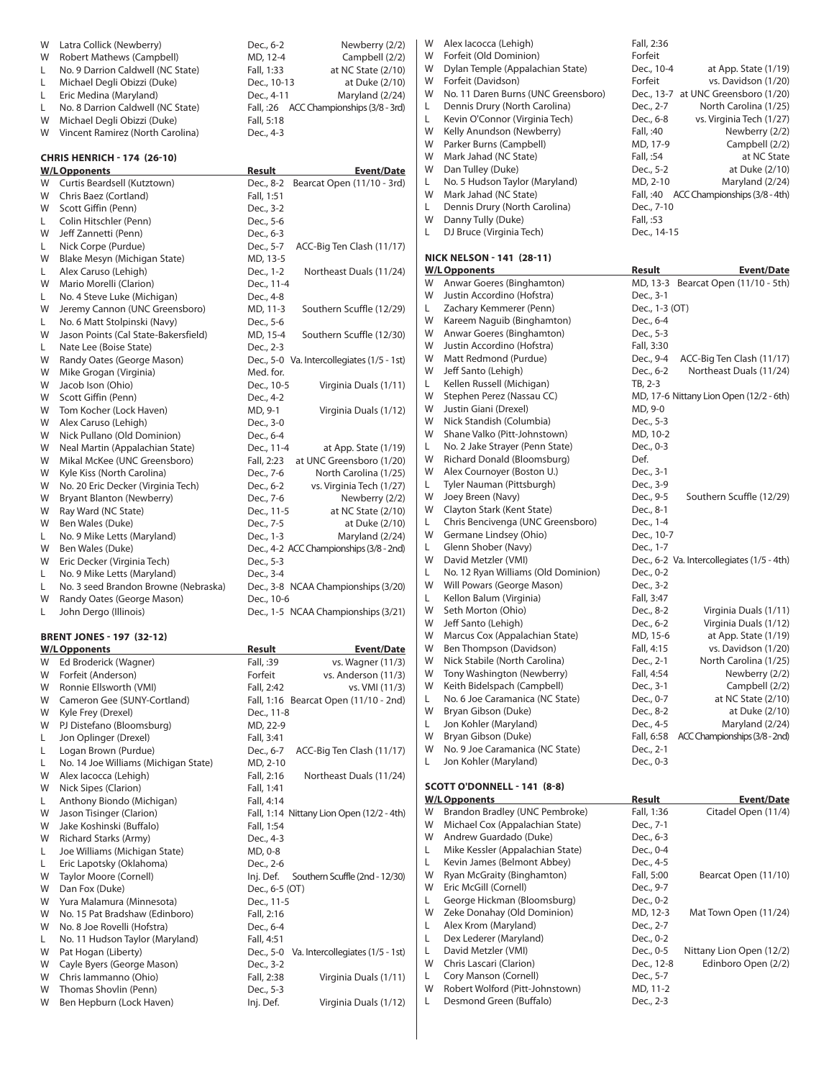| W       | Latra Collick (Newberry)                             | Dec., 6-2<br>Newberry (2/2)                             |
|---------|------------------------------------------------------|---------------------------------------------------------|
| W       | Robert Mathews (Campbell)                            | MD, 12-4<br>Campbell (2/2)                              |
| L.      | No. 9 Darrion Caldwell (NC State)                    | Fall, 1:33<br>at NC State (2/10)                        |
| L.      | Michael Degli Obizzi (Duke)                          | Dec., 10-13<br>at Duke (2/10)                           |
| L       | Eric Medina (Maryland)                               | Dec., 4-11<br>Maryland (2/24)                           |
| L.      | No. 8 Darrion Caldwell (NC State)                    | Fall, :26 ACC Championships (3/8 - 3rd)                 |
| W       | Michael Degli Obizzi (Duke)                          | Fall, 5:18                                              |
| W       | Vincent Ramirez (North Carolina)                     | Dec., 4-3                                               |
|         | <b>CHRIS HENRICH - 174 (26-10)</b>                   |                                                         |
|         | <b>W/L Opponents</b>                                 | Result<br><b>Event/Date</b>                             |
| W       | Curtis Beardsell (Kutztown)                          | Dec., 8-2<br>Bearcat Open (11/10 - 3rd)                 |
| W       | Chris Baez (Cortland)                                | Fall, 1:51                                              |
| W       | Scott Giffin (Penn)                                  | Dec., 3-2                                               |
| L.      | Colin Hitschler (Penn)                               | Dec., 5-6                                               |
| W       | Jeff Zannetti (Penn)                                 | Dec., 6-3                                               |
| L       | Nick Corpe (Purdue)                                  | Dec., 5-7<br>ACC-Big Ten Clash (11/17)                  |
| W       | Blake Mesyn (Michigan State)                         | MD, 13-5                                                |
| L.      | Alex Caruso (Lehigh)                                 | Northeast Duals (11/24)<br>Dec., 1-2                    |
| W       | Mario Morelli (Clarion)                              | Dec., 11-4                                              |
| L.      | No. 4 Steve Luke (Michigan)                          | Dec., 4-8                                               |
| W       | Jeremy Cannon (UNC Greensboro)                       | MD, 11-3<br>Southern Scuffle (12/29)                    |
| L.      | No. 6 Matt Stolpinski (Navy)                         | Dec., 5-6                                               |
| W       | Jason Points (Cal State-Bakersfield)                 | MD, 15-4<br>Southern Scuffle (12/30)                    |
| L.<br>W | Nate Lee (Boise State)                               | Dec., 2-3                                               |
| W       | Randy Oates (George Mason)<br>Mike Grogan (Virginia) | Dec., 5-0 Va. Intercollegiates (1/5 - 1st)<br>Med. for. |
| W       | Jacob Ison (Ohio)                                    | Dec., 10-5<br>Virginia Duals (1/11)                     |
| W       | Scott Giffin (Penn)                                  | Dec., 4-2                                               |
| W       | Tom Kocher (Lock Haven)                              | MD, 9-1<br>Virginia Duals (1/12)                        |
| W       | Alex Caruso (Lehigh)                                 | Dec., 3-0                                               |
| W       | Nick Pullano (Old Dominion)                          | Dec., 6-4                                               |
| W       | Neal Martin (Appalachian State)                      | Dec., 11-4<br>at App. State (1/19)                      |
| W       | Mikal McKee (UNC Greensboro)                         | Fall, 2:23<br>at UNC Greensboro (1/20)                  |
| W       | Kyle Kiss (North Carolina)                           | North Carolina (1/25)<br>Dec., 7-6                      |
| W       | No. 20 Eric Decker (Virginia Tech)                   | vs. Virginia Tech (1/27)<br>Dec., 6-2                   |
| W       | Bryant Blanton (Newberry)                            | Dec., 7-6<br>Newberry (2/2)                             |
| W       | Ray Ward (NC State)                                  | at NC State (2/10)<br>Dec., 11-5                        |
| W       | Ben Wales (Duke)                                     | Dec., 7-5<br>at Duke (2/10)                             |
| L.      | No. 9 Mike Letts (Maryland)                          | Dec., 1-3<br>Maryland (2/24)                            |
| W       | Ben Wales (Duke)                                     | Dec., 4-2 ACC Championships (3/8 - 2nd)                 |
| W       | Eric Decker (Virginia Tech)                          | Dec., 5-3                                               |
| L.      | No. 9 Mike Letts (Maryland)                          | Dec., 3-4                                               |
| L.      | No. 3 seed Brandon Browne (Nebraska)                 | Dec., 3-8 NCAA Championships (3/20)                     |
| W       | Randy Oates (George Mason)                           | Dec., 10-6                                              |
| L.      | John Dergo (Illinois)                                | Dec., 1-5 NCAA Championships (3/21)                     |
|         | <b>BRENT JONES - 197 (32-12)</b>                     |                                                         |
|         | <u>W/L Opponents</u>                                 | <u>Event/Date</u><br><u>Result</u>                      |
| W       | Ed Broderick (Wagner)                                | Fall, :39<br>vs. Wagner (11/3)                          |
| W       | Forfeit (Anderson)                                   | Forfeit<br>vs. Anderson (11/3)                          |
| W       | Ronnie Ellsworth (VMI)                               | Fall, 2:42<br>vs. VMI (11/3)                            |
| W       | Cameron Gee (SUNY-Cortland)                          | Fall, 1:16 Bearcat Open (11/10 - 2nd)                   |
| W       | Kyle Frey (Drexel)                                   | Dec., 11-8                                              |
| W       | PJ Distefano (Bloomsburg)                            | MD, 22-9<br>Fall, 3:41                                  |
| L<br>Г  | Jon Oplinger (Drexel)<br>Logan Brown (Purdue)        | ACC-Big Ten Clash (11/17)<br>Dec., 6-7                  |
| L       | No. 14 Joe Williams (Michigan State)                 | MD, 2-10                                                |
| W       | Alex lacocca (Lehigh)                                | Fall, 2:16<br>Northeast Duals (11/24)                   |
| W       | Nick Sipes (Clarion)                                 | Fall, 1:41                                              |
| L       | Anthony Biondo (Michigan)                            | Fall, 4:14                                              |
| W       | Jason Tisinger (Clarion)                             | Fall, 1:14 Nittany Lion Open (12/2 - 4th)               |
| W       | Jake Koshinski (Buffalo)                             | Fall, 1:54                                              |
| W       | <b>Richard Starks (Army)</b>                         | Dec., 4-3                                               |
| L.      | Joe Williams (Michigan State)                        | MD, 0-8                                                 |
| L       | Eric Lapotsky (Oklahoma)                             | Dec., 2-6                                               |
| W       | Taylor Moore (Cornell)                               | Inj. Def.<br>Southern Scuffle (2nd - 12/30)             |
| W       | Dan Fox (Duke)                                       | Dec., 6-5 (OT)                                          |
| W       | Yura Malamura (Minnesota)                            | Dec., 11-5                                              |
| W       | No. 15 Pat Bradshaw (Edinboro)                       | Fall, 2:16                                              |
| W       | No. 8 Joe Rovelli (Hofstra)                          | Dec., 6-4                                               |
| L.      |                                                      |                                                         |
|         | No. 11 Hudson Taylor (Maryland)                      | Fall, 4:51                                              |
| W       | Pat Hogan (Liberty)                                  | Dec., 5-0 Va. Intercollegiates (1/5 - 1st)              |
| W       | Cayle Byers (George Mason)                           | Dec., 3-2                                               |
| W       | Chris lammanno (Ohio)                                | Fall, 2:38<br>Virginia Duals (1/11)                     |
| W<br>W  | Thomas Shovlin (Penn)<br>Ben Hepburn (Lock Haven)    | Dec., 5-3<br>Inj. Def.<br>Virginia Duals (1/12)         |

| W       | Alex Iacocca (Lehigh)                                           | Fall, 2:36                                                                 |
|---------|-----------------------------------------------------------------|----------------------------------------------------------------------------|
| W<br>W  | Forfeit (Old Dominion)                                          | Forfeit                                                                    |
| W       | Dylan Temple (Appalachian State)<br>Forfeit (Davidson)          | Dec., 10-4<br>at App. State (1/19)<br>Forfeit<br>vs. Davidson (1/20)       |
| W       | No. 11 Daren Burns (UNC Greensboro)                             | Dec., 13-7 at UNC Greensboro (1/20)                                        |
| L       | Dennis Drury (North Carolina)                                   | Dec., 2-7<br>North Carolina (1/25)                                         |
| L       | Kevin O'Connor (Virginia Tech)                                  | vs. Virginia Tech (1/27)<br>Dec., 6-8                                      |
| W       | Kelly Anundson (Newberry)                                       | Fall, :40<br>Newberry (2/2)                                                |
| W       | Parker Burns (Campbell)                                         | Campbell (2/2)<br>MD, 17-9                                                 |
| W<br>W  | Mark Jahad (NC State)<br>Dan Tulley (Duke)                      | Fall, :54<br>at NC State<br>at Duke (2/10)<br>Dec., 5-2                    |
| L.      | No. 5 Hudson Taylor (Maryland)                                  | MD, 2-10<br>Maryland (2/24)                                                |
| W       | Mark Jahad (NC State)                                           | Fall, :40 ACC Championships (3/8 - 4th)                                    |
| L       | Dennis Drury (North Carolina)                                   | Dec., 7-10                                                                 |
| W       | Danny Tully (Duke)                                              | Fall, :53                                                                  |
| L       | DJ Bruce (Virginia Tech)                                        | Dec., 14-15                                                                |
|         | <b>NICK NELSON - 141 (28-11)</b>                                |                                                                            |
|         | <b>W/LOpponents</b>                                             | Result<br><b>Event/Date</b>                                                |
| W       | Anwar Goeres (Binghamton)                                       | MD, 13-3 Bearcat Open (11/10 - 5th)                                        |
| W       | Justin Accordino (Hofstra)                                      | Dec., 3-1                                                                  |
| L.      | Zachary Kemmerer (Penn)                                         | Dec., 1-3 (OT)                                                             |
| W<br>W  | Kareem Naguib (Binghamton)<br>Anwar Goeres (Binghamton)         | Dec., 6-4<br>Dec., 5-3                                                     |
| W       | Justin Accordino (Hofstra)                                      | Fall, 3:30                                                                 |
| W       | Matt Redmond (Purdue)                                           | Dec., 9-4<br>ACC-Big Ten Clash (11/17)                                     |
| W       | Jeff Santo (Lehigh)                                             | Dec., 6-2<br>Northeast Duals (11/24)                                       |
| L.      | Kellen Russell (Michigan)                                       | TB, 2-3                                                                    |
| W       | Stephen Perez (Nassau CC)                                       | MD, 17-6 Nittany Lion Open (12/2 - 6th)                                    |
| W<br>W  | Justin Giani (Drexel)<br>Nick Standish (Columbia)               | MD, 9-0                                                                    |
| W       | Shane Valko (Pitt-Johnstown)                                    | Dec., 5-3<br>MD, 10-2                                                      |
| L.      | No. 2 Jake Strayer (Penn State)                                 | Dec., 0-3                                                                  |
| W       | Richard Donald (Bloomsburg)                                     | Def.                                                                       |
| W       | Alex Cournoyer (Boston U.)                                      | Dec., 3-1                                                                  |
| L       | Tyler Nauman (Pittsburgh)                                       | Dec., 3-9                                                                  |
| W       | Joey Breen (Navy)                                               | Dec., 9-5<br>Southern Scuffle (12/29)                                      |
| W<br>L. | Clayton Stark (Kent State)<br>Chris Bencivenga (UNC Greensboro) | Dec., 8-1<br>Dec., 1-4                                                     |
| W       | Germane Lindsey (Ohio)                                          | Dec., 10-7                                                                 |
| L       | Glenn Shober (Navy)                                             | Dec., 1-7                                                                  |
| W       | David Metzler (VMI)                                             | Dec., 6-2 Va. Intercollegiates (1/5 - 4th)                                 |
| L       | No. 12 Ryan Williams (Old Dominion)                             | Dec., 0-2                                                                  |
| W       | Will Powars (George Mason)                                      | Dec., 3-2                                                                  |
| L.<br>W | Kellon Balum (Virginia)<br>Seth Morton (Ohio)                   | Fall, 3:47<br>Dec., 8-2<br>Virginia Duals (1/11)                           |
| W       | Jeff Santo (Lehigh)                                             | Virginia Duals (1/12)<br>Dec., 6-2                                         |
| W       | Marcus Cox (Appalachian State)                                  | at App. State (1/19)<br>MD, 15-6                                           |
| W       | Ben Thompson (Davidson)                                         | Fall, 4:15<br>vs. Davidson (1/20)                                          |
| W       | Nick Stabile (North Carolina)                                   | Dec., 2-1<br>North Carolina (1/25)                                         |
| W       | Tony Washington (Newberry)                                      | Fall, 4:54<br>Newberry (2/2)                                               |
| W<br>L  | Keith Bidelspach (Campbell)<br>No. 6 Joe Caramanica (NC State)  | Dec., 3-1<br>Campbell (2/2)<br>Dec., 0-7<br>at NC State (2/10)             |
| W       | Bryan Gibson (Duke)                                             | Dec., 8-2<br>at Duke (2/10)                                                |
| L       | Jon Kohler (Maryland)                                           | Dec., 4-5<br>Maryland (2/24)                                               |
| W       | Bryan Gibson (Duke)                                             | Fall, 6:58<br>ACC Championships (3/8 - 2nd)                                |
| W       | No. 9 Joe Caramanica (NC State)                                 | Dec., 2-1                                                                  |
| L       | Jon Kohler (Maryland)                                           | Dec., 0-3                                                                  |
|         | SCOTT O'DONNELL - 141 (8-8)                                     |                                                                            |
|         | <b>W/LOpponents</b>                                             | <u>Result</u><br>Event/Date                                                |
| W       | Brandon Bradley (UNC Pembroke)                                  | Fall, 1:36<br>Citadel Open (11/4)                                          |
| W       | Michael Cox (Appalachian State)                                 | Dec., 7-1                                                                  |
| W       | Andrew Guardado (Duke)                                          | Dec., 6-3                                                                  |
| L<br>L  | Mike Kessler (Appalachian State)<br>Kevin James (Belmont Abbey) | Dec., 0-4<br>Dec., 4-5                                                     |
| W       | Ryan McGraity (Binghamton)                                      | Fall, 5:00<br>Bearcat Open (11/10)                                         |
| W       | Eric McGill (Cornell)                                           | Dec., 9-7                                                                  |
| L       | George Hickman (Bloomsburg)                                     | Dec., 0-2                                                                  |
| W       | Zeke Donahay (Old Dominion)                                     | MD, 12-3<br>Mat Town Open (11/24)                                          |
| L       | Alex Krom (Maryland)                                            | Dec., 2-7                                                                  |
| L       | Dex Lederer (Maryland)                                          | Dec., 0-2                                                                  |
| L<br>W  | David Metzler (VMI)<br>Chris Lascari (Clarion)                  | Dec., 0-5<br>Nittany Lion Open (12/2)<br>Dec., 12-8<br>Edinboro Open (2/2) |
| L       | Cory Manson (Cornell)                                           | Dec., 5-7                                                                  |
| W       | Robert Wolford (Pitt-Johnstown)                                 | MD, 11-2                                                                   |
| L       | Desmond Green (Buffalo)                                         | Dec., 2-3                                                                  |